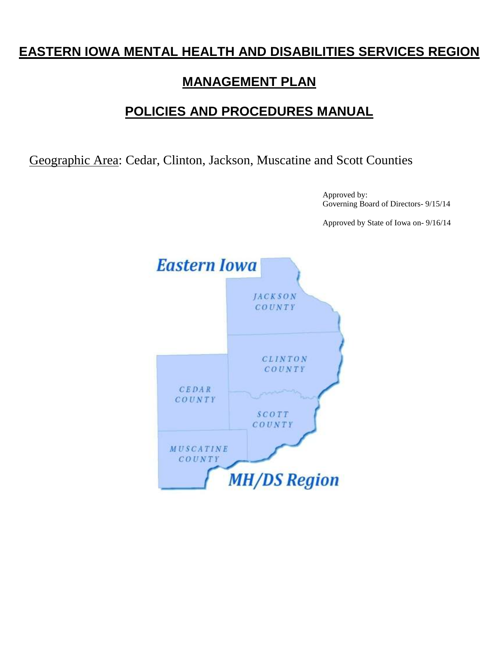## **EASTERN IOWA MENTAL HEALTH AND DISABILITIES SERVICES REGION**

## **MANAGEMENT PLAN**

## **POLICIES AND PROCEDURES MANUAL**

Geographic Area: Cedar, Clinton, Jackson, Muscatine and Scott Counties

Approved by: Governing Board of Directors- 9/15/14

Approved by State of Iowa on- 9/16/14

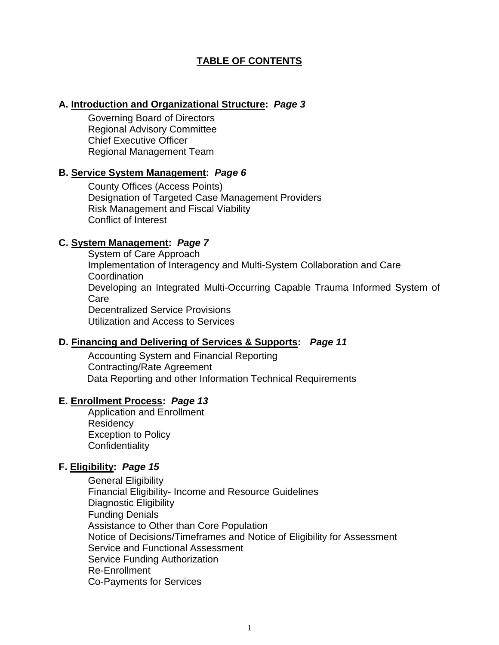## **TABLE OF CONTENTS**

#### **A. Introduction and Organizational Structure:** *Page 3*

Governing Board of Directors Regional Advisory Committee Chief Executive Officer Regional Management Team

#### **B. Service System Management:** *Page 6*

County Offices (Access Points) Designation of Targeted Case Management Providers Risk Management and Fiscal Viability Conflict of Interest

#### **C. System Management:** *Page 7*

System of Care Approach Implementation of Interagency and Multi-System Collaboration and Care **Coordination** Developing an Integrated Multi-Occurring Capable Trauma Informed System of Care Decentralized Service Provisions Utilization and Access to Services

### **D. Financing and Delivering of Services & Supports:** *Page 11*

Accounting System and Financial Reporting Contracting/Rate Agreement Data Reporting and other Information Technical Requirements

#### **E. Enrollment Process:** *Page 13*

Application and Enrollment **Residency** Exception to Policy **Confidentiality** 

### **F. Eligibility:** *Page 15*

General Eligibility Financial Eligibility- Income and Resource Guidelines Diagnostic Eligibility Funding Denials Assistance to Other than Core Population Notice of Decisions/Timeframes and Notice of Eligibility for Assessment Service and Functional Assessment Service Funding Authorization Re-Enrollment Co-Payments for Services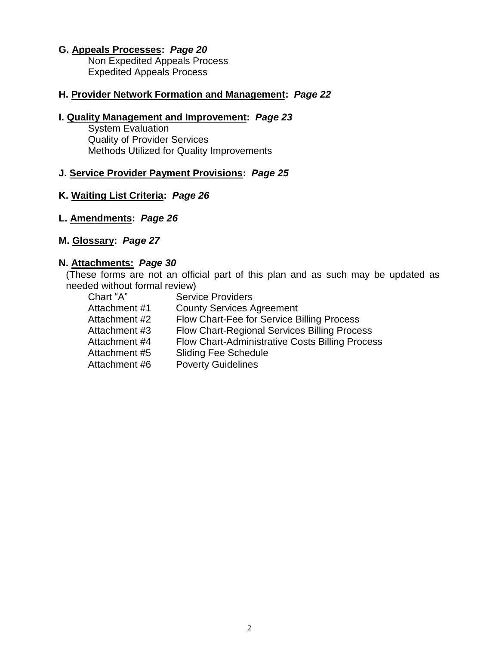## **G. Appeals Processes:** *Page 20*

Non Expedited Appeals Process Expedited Appeals Process

#### **H. Provider Network Formation and Management:** *Page 22*

### **I. Quality Management and Improvement:** *Page 23*

**System Evaluation** Quality of Provider Services Methods Utilized for Quality Improvements

#### **J. Service Provider Payment Provisions:** *Page 25*

## **K. Waiting List Criteria:** *Page 26*

- **L. Amendments:** *Page 26*
- **M. Glossary:** *Page 27*

#### **N. Attachments:** *Page 30*

(These forms are not an official part of this plan and as such may be updated as needed without formal review)

| <b>Service Providers</b>                               |
|--------------------------------------------------------|
| <b>County Services Agreement</b>                       |
| Flow Chart-Fee for Service Billing Process             |
| <b>Flow Chart-Regional Services Billing Process</b>    |
| <b>Flow Chart-Administrative Costs Billing Process</b> |
| <b>Sliding Fee Schedule</b>                            |
| <b>Poverty Guidelines</b>                              |
|                                                        |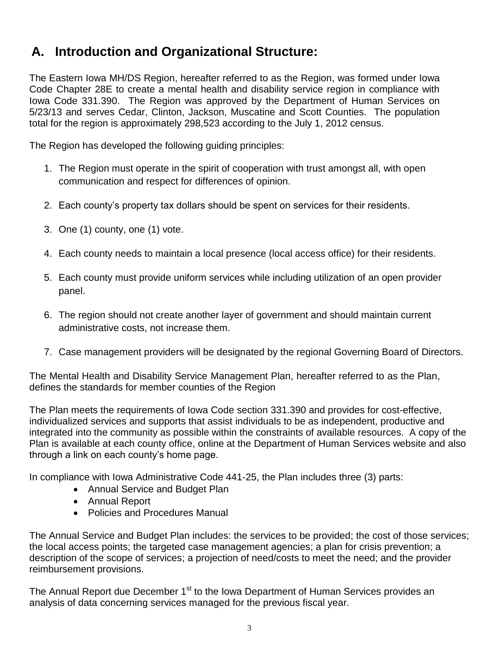# **A. Introduction and Organizational Structure:**

The Eastern Iowa MH/DS Region, hereafter referred to as the Region, was formed under Iowa Code Chapter 28E to create a mental health and disability service region in compliance with Iowa Code 331.390. The Region was approved by the Department of Human Services on 5/23/13 and serves Cedar, Clinton, Jackson, Muscatine and Scott Counties. The population total for the region is approximately 298,523 according to the July 1, 2012 census.

The Region has developed the following guiding principles:

- 1. The Region must operate in the spirit of cooperation with trust amongst all, with open communication and respect for differences of opinion.
- 2. Each county's property tax dollars should be spent on services for their residents.
- 3. One (1) county, one (1) vote.
- 4. Each county needs to maintain a local presence (local access office) for their residents.
- 5. Each county must provide uniform services while including utilization of an open provider panel.
- 6. The region should not create another layer of government and should maintain current administrative costs, not increase them.
- 7. Case management providers will be designated by the regional Governing Board of Directors.

The Mental Health and Disability Service Management Plan, hereafter referred to as the Plan, defines the standards for member counties of the Region

The Plan meets the requirements of Iowa Code section 331.390 and provides for cost-effective, individualized services and supports that assist individuals to be as independent, productive and integrated into the community as possible within the constraints of available resources. A copy of the Plan is available at each county office, online at the Department of Human Services website and also through a link on each county's home page.

In compliance with Iowa Administrative Code 441-25, the Plan includes three (3) parts:

- Annual Service and Budget Plan
- Annual Report
- Policies and Procedures Manual

The Annual Service and Budget Plan includes: the services to be provided; the cost of those services; the local access points; the targeted case management agencies; a plan for crisis prevention; a description of the scope of services; a projection of need/costs to meet the need; and the provider reimbursement provisions.

The Annual Report due December 1<sup>st</sup> to the Iowa Department of Human Services provides an analysis of data concerning services managed for the previous fiscal year.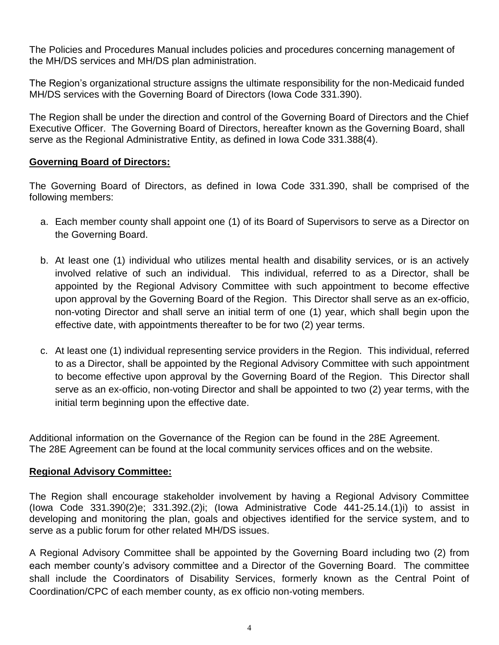The Policies and Procedures Manual includes policies and procedures concerning management of the MH/DS services and MH/DS plan administration.

The Region's organizational structure assigns the ultimate responsibility for the non-Medicaid funded MH/DS services with the Governing Board of Directors (Iowa Code 331.390).

The Region shall be under the direction and control of the Governing Board of Directors and the Chief Executive Officer. The Governing Board of Directors, hereafter known as the Governing Board, shall serve as the Regional Administrative Entity, as defined in Iowa Code 331.388(4).

## **Governing Board of Directors:**

The Governing Board of Directors, as defined in Iowa Code 331.390, shall be comprised of the following members:

- a. Each member county shall appoint one (1) of its Board of Supervisors to serve as a Director on the Governing Board.
- b. At least one (1) individual who utilizes mental health and disability services, or is an actively involved relative of such an individual. This individual, referred to as a Director, shall be appointed by the Regional Advisory Committee with such appointment to become effective upon approval by the Governing Board of the Region. This Director shall serve as an ex-officio, non-voting Director and shall serve an initial term of one (1) year, which shall begin upon the effective date, with appointments thereafter to be for two (2) year terms.
- c. At least one (1) individual representing service providers in the Region. This individual, referred to as a Director, shall be appointed by the Regional Advisory Committee with such appointment to become effective upon approval by the Governing Board of the Region. This Director shall serve as an ex-officio, non-voting Director and shall be appointed to two (2) year terms, with the initial term beginning upon the effective date.

Additional information on the Governance of the Region can be found in the 28E Agreement. The 28E Agreement can be found at the local community services offices and on the website.

## **Regional Advisory Committee:**

The Region shall encourage stakeholder involvement by having a Regional Advisory Committee (Iowa Code 331.390(2)e; 331.392.(2)i; (Iowa Administrative Code 441-25.14.(1)i) to assist in developing and monitoring the plan, goals and objectives identified for the service system, and to serve as a public forum for other related MH/DS issues.

A Regional Advisory Committee shall be appointed by the Governing Board including two (2) from each member county's advisory committee and a Director of the Governing Board. The committee shall include the Coordinators of Disability Services, formerly known as the Central Point of Coordination/CPC of each member county, as ex officio non-voting members.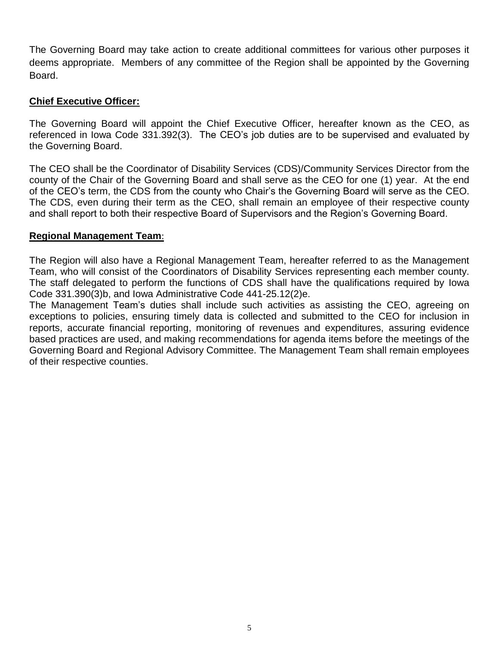The Governing Board may take action to create additional committees for various other purposes it deems appropriate. Members of any committee of the Region shall be appointed by the Governing Board.

### **Chief Executive Officer:**

The Governing Board will appoint the Chief Executive Officer, hereafter known as the CEO, as referenced in Iowa Code 331.392(3). The CEO's job duties are to be supervised and evaluated by the Governing Board.

The CEO shall be the Coordinator of Disability Services (CDS)/Community Services Director from the county of the Chair of the Governing Board and shall serve as the CEO for one (1) year. At the end of the CEO's term, the CDS from the county who Chair's the Governing Board will serve as the CEO. The CDS, even during their term as the CEO, shall remain an employee of their respective county and shall report to both their respective Board of Supervisors and the Region's Governing Board.

### **Regional Management Team**:

The Region will also have a Regional Management Team, hereafter referred to as the Management Team, who will consist of the Coordinators of Disability Services representing each member county. The staff delegated to perform the functions of CDS shall have the qualifications required by Iowa Code 331.390(3)b, and Iowa Administrative Code 441-25.12(2)e.

The Management Team's duties shall include such activities as assisting the CEO, agreeing on exceptions to policies, ensuring timely data is collected and submitted to the CEO for inclusion in reports, accurate financial reporting, monitoring of revenues and expenditures, assuring evidence based practices are used, and making recommendations for agenda items before the meetings of the Governing Board and Regional Advisory Committee. The Management Team shall remain employees of their respective counties.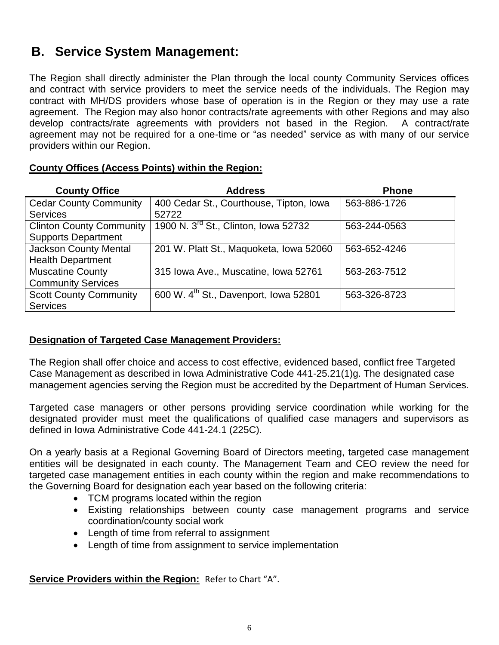## **B. Service System Management:**

The Region shall directly administer the Plan through the local county Community Services offices and contract with service providers to meet the service needs of the individuals. The Region may contract with MH/DS providers whose base of operation is in the Region or they may use a rate agreement. The Region may also honor contracts/rate agreements with other Regions and may also develop contracts/rate agreements with providers not based in the Region. A contract/rate agreement may not be required for a one-time or "as needed" service as with many of our service providers within our Region.

| <b>County Office</b>            | <b>Address</b>                                    | <b>Phone</b> |
|---------------------------------|---------------------------------------------------|--------------|
| <b>Cedar County Community</b>   | 400 Cedar St., Courthouse, Tipton, Iowa           | 563-886-1726 |
| <b>Services</b>                 | 52722                                             |              |
| <b>Clinton County Community</b> | 1900 N. 3 <sup>rd</sup> St., Clinton, Iowa 52732  | 563-244-0563 |
| <b>Supports Department</b>      |                                                   |              |
| <b>Jackson County Mental</b>    | 201 W. Platt St., Maquoketa, Iowa 52060           | 563-652-4246 |
| <b>Health Department</b>        |                                                   |              |
| <b>Muscatine County</b>         | 315 Iowa Ave., Muscatine, Iowa 52761              | 563-263-7512 |
| <b>Community Services</b>       |                                                   |              |
| <b>Scott County Community</b>   | 600 W. 4 <sup>th</sup> St., Davenport, Iowa 52801 | 563-326-8723 |
| <b>Services</b>                 |                                                   |              |

## **County Offices (Access Points) within the Region:**

## **Designation of Targeted Case Management Providers:**

The Region shall offer choice and access to cost effective, evidenced based, conflict free Targeted Case Management as described in Iowa Administrative Code 441-25.21(1)g. The designated case management agencies serving the Region must be accredited by the Department of Human Services.

Targeted case managers or other persons providing service coordination while working for the designated provider must meet the qualifications of qualified case managers and supervisors as defined in Iowa Administrative Code 441-24.1 (225C).

On a yearly basis at a Regional Governing Board of Directors meeting, targeted case management entities will be designated in each county. The Management Team and CEO review the need for targeted case management entities in each county within the region and make recommendations to the Governing Board for designation each year based on the following criteria:

- TCM programs located within the region
- Existing relationships between county case management programs and service coordination/county social work
- Length of time from referral to assignment
- Length of time from assignment to service implementation

**Service Providers within the Region:** Refer to Chart "A".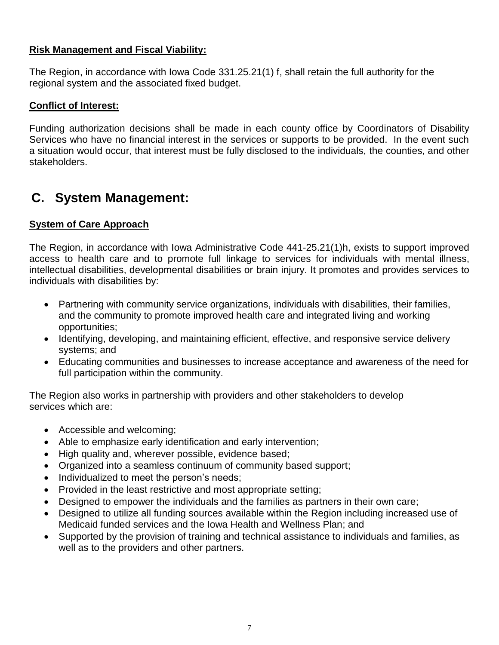## **Risk Management and Fiscal Viability:**

The Region, in accordance with Iowa Code 331.25.21(1) f, shall retain the full authority for the regional system and the associated fixed budget.

## **Conflict of Interest:**

Funding authorization decisions shall be made in each county office by Coordinators of Disability Services who have no financial interest in the services or supports to be provided. In the event such a situation would occur, that interest must be fully disclosed to the individuals, the counties, and other stakeholders.

## **C. System Management:**

## **System of Care Approach**

The Region, in accordance with Iowa Administrative Code 441-25.21(1)h, exists to support improved access to health care and to promote full linkage to services for individuals with mental illness, intellectual disabilities, developmental disabilities or brain injury. It promotes and provides services to individuals with disabilities by:

- Partnering with community service organizations, individuals with disabilities, their families, and the community to promote improved health care and integrated living and working opportunities;
- Identifying, developing, and maintaining efficient, effective, and responsive service delivery systems; and
- Educating communities and businesses to increase acceptance and awareness of the need for full participation within the community.

The Region also works in partnership with providers and other stakeholders to develop services which are:

- Accessible and welcoming;
- Able to emphasize early identification and early intervention;
- High quality and, wherever possible, evidence based;
- Organized into a seamless continuum of community based support;
- Individualized to meet the person's needs;
- Provided in the least restrictive and most appropriate setting;
- Designed to empower the individuals and the families as partners in their own care;
- Designed to utilize all funding sources available within the Region including increased use of Medicaid funded services and the Iowa Health and Wellness Plan; and
- Supported by the provision of training and technical assistance to individuals and families, as well as to the providers and other partners.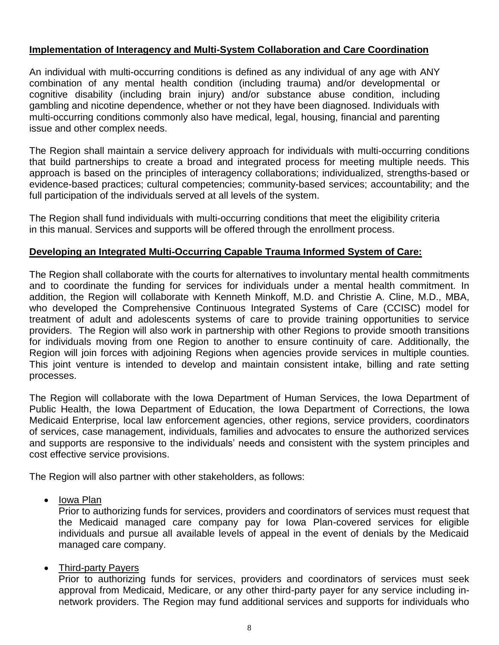## **Implementation of Interagency and Multi-System Collaboration and Care Coordination**

An individual with multi-occurring conditions is defined as any individual of any age with ANY combination of any mental health condition (including trauma) and/or developmental or cognitive disability (including brain injury) and/or substance abuse condition, including gambling and nicotine dependence, whether or not they have been diagnosed. Individuals with multi-occurring conditions commonly also have medical, legal, housing, financial and parenting issue and other complex needs.

The Region shall maintain a service delivery approach for individuals with multi-occurring conditions that build partnerships to create a broad and integrated process for meeting multiple needs. This approach is based on the principles of interagency collaborations; individualized, strengths-based or evidence-based practices; cultural competencies; community-based services; accountability; and the full participation of the individuals served at all levels of the system.

The Region shall fund individuals with multi-occurring conditions that meet the eligibility criteria in this manual. Services and supports will be offered through the enrollment process.

## **Developing an Integrated Multi-Occurring Capable Trauma Informed System of Care:**

The Region shall collaborate with the courts for alternatives to involuntary mental health commitments and to coordinate the funding for services for individuals under a mental health commitment. In addition, the Region will collaborate with Kenneth Minkoff, M.D. and Christie A. Cline, M.D., MBA, who developed the Comprehensive Continuous Integrated Systems of Care (CCISC) model for treatment of adult and adolescents systems of care to provide training opportunities to service providers. The Region will also work in partnership with other Regions to provide smooth transitions for individuals moving from one Region to another to ensure continuity of care. Additionally, the Region will join forces with adjoining Regions when agencies provide services in multiple counties. This joint venture is intended to develop and maintain consistent intake, billing and rate setting processes.

The Region will collaborate with the Iowa Department of Human Services, the Iowa Department of Public Health, the Iowa Department of Education, the Iowa Department of Corrections, the Iowa Medicaid Enterprise, local law enforcement agencies, other regions, service providers, coordinators of services, case management, individuals, families and advocates to ensure the authorized services and supports are responsive to the individuals' needs and consistent with the system principles and cost effective service provisions.

The Region will also partner with other stakeholders, as follows:

• Iowa Plan

Prior to authorizing funds for services, providers and coordinators of services must request that the Medicaid managed care company pay for Iowa Plan-covered services for eligible individuals and pursue all available levels of appeal in the event of denials by the Medicaid managed care company.

### • Third-party Payers

Prior to authorizing funds for services, providers and coordinators of services must seek approval from Medicaid, Medicare, or any other third-party payer for any service including innetwork providers. The Region may fund additional services and supports for individuals who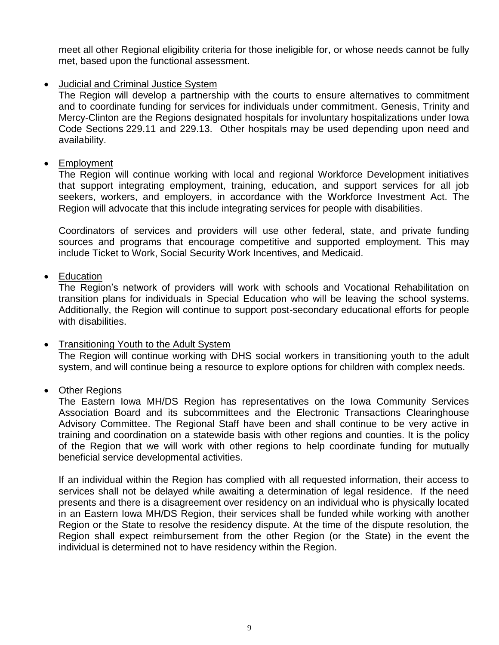meet all other Regional eligibility criteria for those ineligible for, or whose needs cannot be fully met, based upon the functional assessment.

## Judicial and Criminal Justice System

The Region will develop a partnership with the courts to ensure alternatives to commitment and to coordinate funding for services for individuals under commitment. Genesis, Trinity and Mercy-Clinton are the Regions designated hospitals for involuntary hospitalizations under Iowa Code Sections 229.11 and 229.13. Other hospitals may be used depending upon need and availability.

### • Employment

The Region will continue working with local and regional Workforce Development initiatives that support integrating employment, training, education, and support services for all job seekers, workers, and employers, in accordance with the Workforce Investment Act. The Region will advocate that this include integrating services for people with disabilities.

Coordinators of services and providers will use other federal, state, and private funding sources and programs that encourage competitive and supported employment. This may include Ticket to Work, Social Security Work Incentives, and Medicaid.

## • Education

The Region's network of providers will work with schools and Vocational Rehabilitation on transition plans for individuals in Special Education who will be leaving the school systems. Additionally, the Region will continue to support post-secondary educational efforts for people with disabilities.

### Transitioning Youth to the Adult System

The Region will continue working with DHS social workers in transitioning youth to the adult system, and will continue being a resource to explore options for children with complex needs.

## Other Regions

The Eastern Iowa MH/DS Region has representatives on the Iowa Community Services Association Board and its subcommittees and the Electronic Transactions Clearinghouse Advisory Committee. The Regional Staff have been and shall continue to be very active in training and coordination on a statewide basis with other regions and counties. It is the policy of the Region that we will work with other regions to help coordinate funding for mutually beneficial service developmental activities.

If an individual within the Region has complied with all requested information, their access to services shall not be delayed while awaiting a determination of legal residence. If the need presents and there is a disagreement over residency on an individual who is physically located in an Eastern Iowa MH/DS Region, their services shall be funded while working with another Region or the State to resolve the residency dispute. At the time of the dispute resolution, the Region shall expect reimbursement from the other Region (or the State) in the event the individual is determined not to have residency within the Region.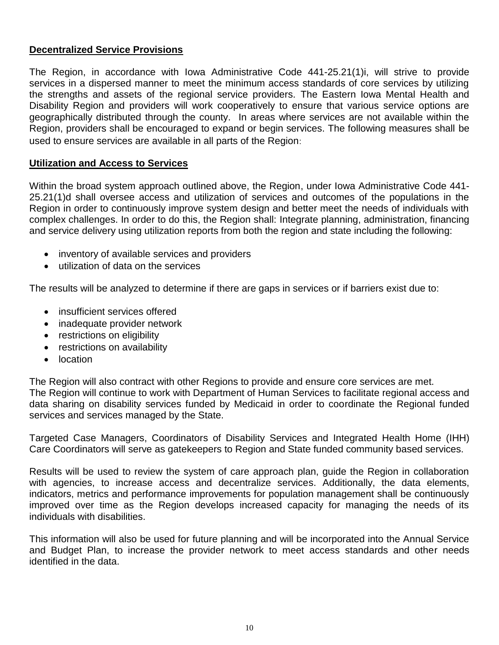## **Decentralized Service Provisions**

The Region, in accordance with Iowa Administrative Code 441-25.21(1)i, will strive to provide services in a dispersed manner to meet the minimum access standards of core services by utilizing the strengths and assets of the regional service providers. The Eastern Iowa Mental Health and Disability Region and providers will work cooperatively to ensure that various service options are geographically distributed through the county. In areas where services are not available within the Region, providers shall be encouraged to expand or begin services. The following measures shall be used to ensure services are available in all parts of the Region:

### **Utilization and Access to Services**

Within the broad system approach outlined above, the Region, under Iowa Administrative Code 441- 25.21(1)d shall oversee access and utilization of services and outcomes of the populations in the Region in order to continuously improve system design and better meet the needs of individuals with complex challenges. In order to do this, the Region shall: Integrate planning, administration, financing and service delivery using utilization reports from both the region and state including the following:

- inventory of available services and providers
- utilization of data on the services

The results will be analyzed to determine if there are gaps in services or if barriers exist due to:

- insufficient services offered
- inadequate provider network
- restrictions on eligibility
- restrictions on availability
- location

The Region will also contract with other Regions to provide and ensure core services are met. The Region will continue to work with Department of Human Services to facilitate regional access and data sharing on disability services funded by Medicaid in order to coordinate the Regional funded services and services managed by the State.

Targeted Case Managers, Coordinators of Disability Services and Integrated Health Home (IHH) Care Coordinators will serve as gatekeepers to Region and State funded community based services.

Results will be used to review the system of care approach plan, guide the Region in collaboration with agencies, to increase access and decentralize services. Additionally, the data elements, indicators, metrics and performance improvements for population management shall be continuously improved over time as the Region develops increased capacity for managing the needs of its individuals with disabilities.

This information will also be used for future planning and will be incorporated into the Annual Service and Budget Plan, to increase the provider network to meet access standards and other needs identified in the data.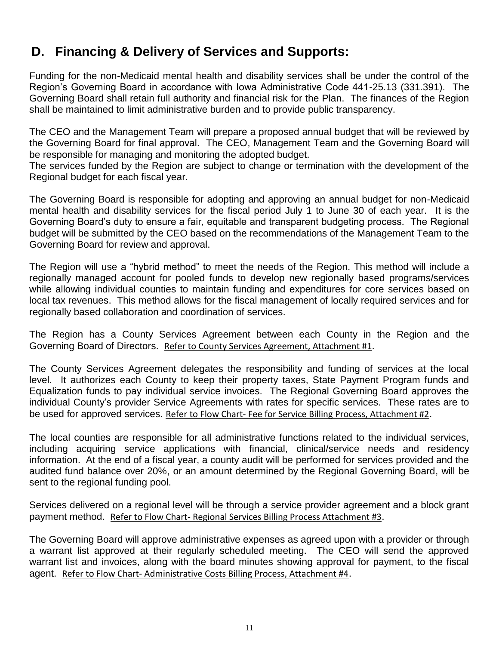# **D. Financing & Delivery of Services and Supports:**

Funding for the non-Medicaid mental health and disability services shall be under the control of the Region's Governing Board in accordance with Iowa Administrative Code 441-25.13 (331.391).The Governing Board shall retain full authority and financial risk for the Plan. The finances of the Region shall be maintained to limit administrative burden and to provide public transparency.

The CEO and the Management Team will prepare a proposed annual budget that will be reviewed by the Governing Board for final approval. The CEO, Management Team and the Governing Board will be responsible for managing and monitoring the adopted budget.

The services funded by the Region are subject to change or termination with the development of the Regional budget for each fiscal year.

The Governing Board is responsible for adopting and approving an annual budget for non-Medicaid mental health and disability services for the fiscal period July 1 to June 30 of each year. It is the Governing Board's duty to ensure a fair, equitable and transparent budgeting process. The Regional budget will be submitted by the CEO based on the recommendations of the Management Team to the Governing Board for review and approval.

The Region will use a "hybrid method" to meet the needs of the Region. This method will include a regionally managed account for pooled funds to develop new regionally based programs/services while allowing individual counties to maintain funding and expenditures for core services based on local tax revenues. This method allows for the fiscal management of locally required services and for regionally based collaboration and coordination of services.

The Region has a County Services Agreement between each County in the Region and the Governing Board of Directors. Refer to County Services Agreement, Attachment #1.

The County Services Agreement delegates the responsibility and funding of services at the local level. It authorizes each County to keep their property taxes, State Payment Program funds and Equalization funds to pay individual service invoices. The Regional Governing Board approves the individual County's provider Service Agreements with rates for specific services. These rates are to be used for approved services. Refer to Flow Chart- Fee for Service Billing Process, Attachment #2.

The local counties are responsible for all administrative functions related to the individual services, including acquiring service applications with financial, clinical/service needs and residency information. At the end of a fiscal year, a county audit will be performed for services provided and the audited fund balance over 20%, or an amount determined by the Regional Governing Board, will be sent to the regional funding pool.

Services delivered on a regional level will be through a service provider agreement and a block grant payment method. Refer to Flow Chart- Regional Services Billing Process Attachment #3.

The Governing Board will approve administrative expenses as agreed upon with a provider or through a warrant list approved at their regularly scheduled meeting. The CEO will send the approved warrant list and invoices, along with the board minutes showing approval for payment, to the fiscal agent. Refer to Flow Chart- Administrative Costs Billing Process, Attachment #4.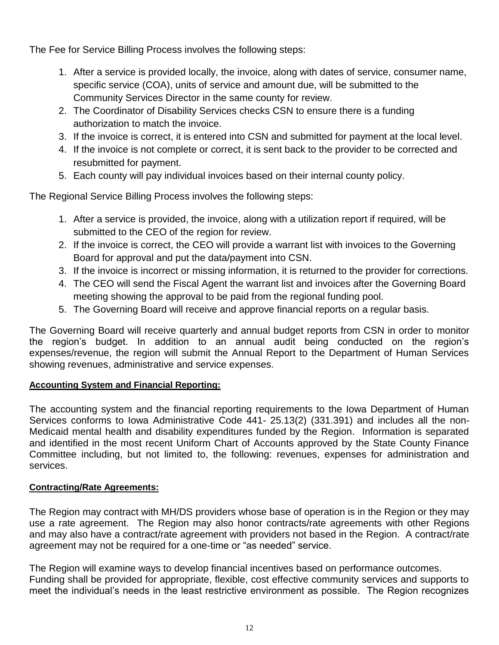The Fee for Service Billing Process involves the following steps:

- 1. After a service is provided locally, the invoice, along with dates of service, consumer name, specific service (COA), units of service and amount due, will be submitted to the Community Services Director in the same county for review.
- 2. The Coordinator of Disability Services checks CSN to ensure there is a funding authorization to match the invoice.
- 3. If the invoice is correct, it is entered into CSN and submitted for payment at the local level.
- 4. If the invoice is not complete or correct, it is sent back to the provider to be corrected and resubmitted for payment.
- 5. Each county will pay individual invoices based on their internal county policy.

The Regional Service Billing Process involves the following steps:

- 1. After a service is provided, the invoice, along with a utilization report if required, will be submitted to the CEO of the region for review.
- 2. If the invoice is correct, the CEO will provide a warrant list with invoices to the Governing Board for approval and put the data/payment into CSN.
- 3. If the invoice is incorrect or missing information, it is returned to the provider for corrections.
- 4. The CEO will send the Fiscal Agent the warrant list and invoices after the Governing Board meeting showing the approval to be paid from the regional funding pool.
- 5. The Governing Board will receive and approve financial reports on a regular basis.

The Governing Board will receive quarterly and annual budget reports from CSN in order to monitor the region's budget. In addition to an annual audit being conducted on the region's expenses/revenue, the region will submit the Annual Report to the Department of Human Services showing revenues, administrative and service expenses.

## **Accounting System and Financial Reporting:**

The accounting system and the financial reporting requirements to the Iowa Department of Human Services conforms to Iowa Administrative Code 441- 25.13(2) (331.391) and includes all the non-Medicaid mental health and disability expenditures funded by the Region. Information is separated and identified in the most recent Uniform Chart of Accounts approved by the State County Finance Committee including, but not limited to, the following: revenues, expenses for administration and services.

### **Contracting/Rate Agreements:**

The Region may contract with MH/DS providers whose base of operation is in the Region or they may use a rate agreement. The Region may also honor contracts/rate agreements with other Regions and may also have a contract/rate agreement with providers not based in the Region. A contract/rate agreement may not be required for a one-time or "as needed" service.

The Region will examine ways to develop financial incentives based on performance outcomes. Funding shall be provided for appropriate, flexible, cost effective community services and supports to meet the individual's needs in the least restrictive environment as possible. The Region recognizes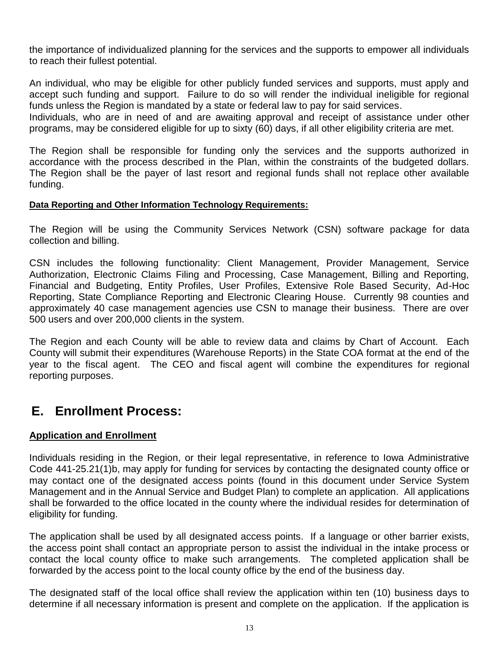the importance of individualized planning for the services and the supports to empower all individuals to reach their fullest potential.

An individual, who may be eligible for other publicly funded services and supports, must apply and accept such funding and support. Failure to do so will render the individual ineligible for regional funds unless the Region is mandated by a state or federal law to pay for said services.

Individuals, who are in need of and are awaiting approval and receipt of assistance under other programs, may be considered eligible for up to sixty (60) days, if all other eligibility criteria are met.

The Region shall be responsible for funding only the services and the supports authorized in accordance with the process described in the Plan, within the constraints of the budgeted dollars. The Region shall be the payer of last resort and regional funds shall not replace other available funding.

#### **Data Reporting and Other Information Technology Requirements:**

The Region will be using the Community Services Network (CSN) software package for data collection and billing.

CSN includes the following functionality: Client Management, Provider Management, Service Authorization, Electronic Claims Filing and Processing, Case Management, Billing and Reporting, Financial and Budgeting, Entity Profiles, User Profiles, Extensive Role Based Security, Ad-Hoc Reporting, State Compliance Reporting and Electronic Clearing House. Currently 98 counties and approximately 40 case management agencies use CSN to manage their business. There are over 500 users and over 200,000 clients in the system.

The Region and each County will be able to review data and claims by Chart of Account. Each County will submit their expenditures (Warehouse Reports) in the State COA format at the end of the year to the fiscal agent. The CEO and fiscal agent will combine the expenditures for regional reporting purposes.

## **E. Enrollment Process:**

### **Application and Enrollment**

Individuals residing in the Region, or their legal representative, in reference to Iowa Administrative Code 441-25.21(1)b, may apply for funding for services by contacting the designated county office or may contact one of the designated access points (found in this document under Service System Management and in the Annual Service and Budget Plan) to complete an application. All applications shall be forwarded to the office located in the county where the individual resides for determination of eligibility for funding.

The application shall be used by all designated access points. If a language or other barrier exists, the access point shall contact an appropriate person to assist the individual in the intake process or contact the local county office to make such arrangements. The completed application shall be forwarded by the access point to the local county office by the end of the business day.

The designated staff of the local office shall review the application within ten (10) business days to determine if all necessary information is present and complete on the application. If the application is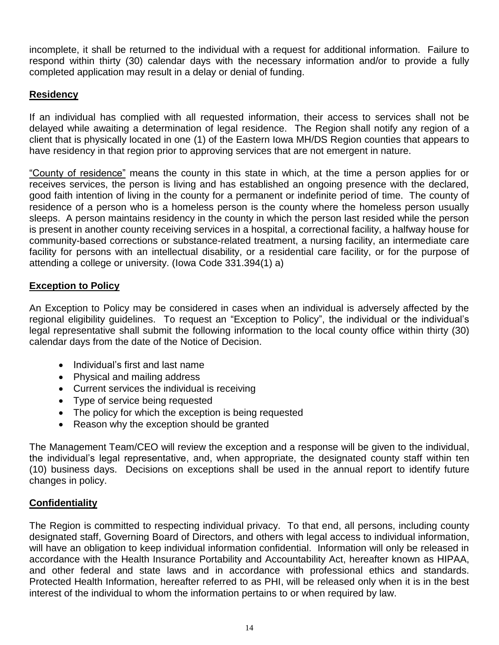incomplete, it shall be returned to the individual with a request for additional information. Failure to respond within thirty (30) calendar days with the necessary information and/or to provide a fully completed application may result in a delay or denial of funding.

## **Residency**

If an individual has complied with all requested information, their access to services shall not be delayed while awaiting a determination of legal residence. The Region shall notify any region of a client that is physically located in one (1) of the Eastern Iowa MH/DS Region counties that appears to have residency in that region prior to approving services that are not emergent in nature.

"County of residence" means the county in this state in which, at the time a person applies for or receives services, the person is living and has established an ongoing presence with the declared, good faith intention of living in the county for a permanent or indefinite period of time. The county of residence of a person who is a homeless person is the county where the homeless person usually sleeps. A person maintains residency in the county in which the person last resided while the person is present in another county receiving services in a hospital, a correctional facility, a halfway house for community-based corrections or substance-related treatment, a nursing facility, an intermediate care facility for persons with an intellectual disability, or a residential care facility, or for the purpose of attending a college or university. (Iowa Code 331.394(1) a)

## **Exception to Policy**

An Exception to Policy may be considered in cases when an individual is adversely affected by the regional eligibility guidelines. To reguest an "Exception to Policy", the individual or the individual's legal representative shall submit the following information to the local county office within thirty (30) calendar days from the date of the Notice of Decision.

- Individual's first and last name
- Physical and mailing address
- Current services the individual is receiving
- Type of service being requested
- The policy for which the exception is being requested
- Reason why the exception should be granted

The Management Team/CEO will review the exception and a response will be given to the individual, the individual's legal representative, and, when appropriate, the designated county staff within ten (10) business days. Decisions on exceptions shall be used in the annual report to identify future changes in policy.

## **Confidentiality**

The Region is committed to respecting individual privacy. To that end, all persons, including county designated staff, Governing Board of Directors, and others with legal access to individual information, will have an obligation to keep individual information confidential. Information will only be released in accordance with the Health Insurance Portability and Accountability Act, hereafter known as HIPAA, and other federal and state laws and in accordance with professional ethics and standards. Protected Health Information, hereafter referred to as PHI, will be released only when it is in the best interest of the individual to whom the information pertains to or when required by law.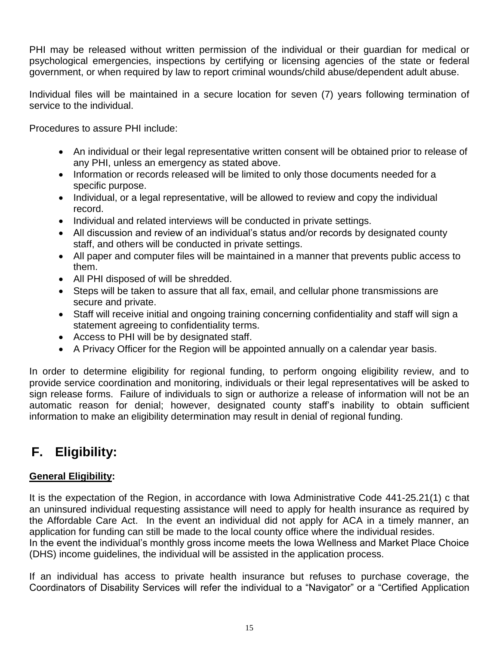PHI may be released without written permission of the individual or their guardian for medical or psychological emergencies, inspections by certifying or licensing agencies of the state or federal government, or when required by law to report criminal wounds/child abuse/dependent adult abuse.

Individual files will be maintained in a secure location for seven (7) years following termination of service to the individual.

Procedures to assure PHI include:

- An individual or their legal representative written consent will be obtained prior to release of any PHI, unless an emergency as stated above.
- Information or records released will be limited to only those documents needed for a specific purpose.
- Individual, or a legal representative, will be allowed to review and copy the individual record.
- Individual and related interviews will be conducted in private settings.
- All discussion and review of an individual's status and/or records by designated county staff, and others will be conducted in private settings.
- All paper and computer files will be maintained in a manner that prevents public access to them.
- All PHI disposed of will be shredded.
- Steps will be taken to assure that all fax, email, and cellular phone transmissions are secure and private.
- Staff will receive initial and ongoing training concerning confidentiality and staff will sign a statement agreeing to confidentiality terms.
- Access to PHI will be by designated staff.
- A Privacy Officer for the Region will be appointed annually on a calendar year basis.

In order to determine eligibility for regional funding, to perform ongoing eligibility review, and to provide service coordination and monitoring, individuals or their legal representatives will be asked to sign release forms. Failure of individuals to sign or authorize a release of information will not be an automatic reason for denial; however, designated county staff's inability to obtain sufficient information to make an eligibility determination may result in denial of regional funding.

# **F. Eligibility:**

## **General Eligibility:**

It is the expectation of the Region, in accordance with Iowa Administrative Code 441-25.21(1) c that an uninsured individual requesting assistance will need to apply for health insurance as required by the Affordable Care Act. In the event an individual did not apply for ACA in a timely manner, an application for funding can still be made to the local county office where the individual resides. In the event the individual's monthly gross income meets the Iowa Wellness and Market Place Choice

(DHS) income guidelines, the individual will be assisted in the application process.

If an individual has access to private health insurance but refuses to purchase coverage, the Coordinators of Disability Services will refer the individual to a "Navigator" or a "Certified Application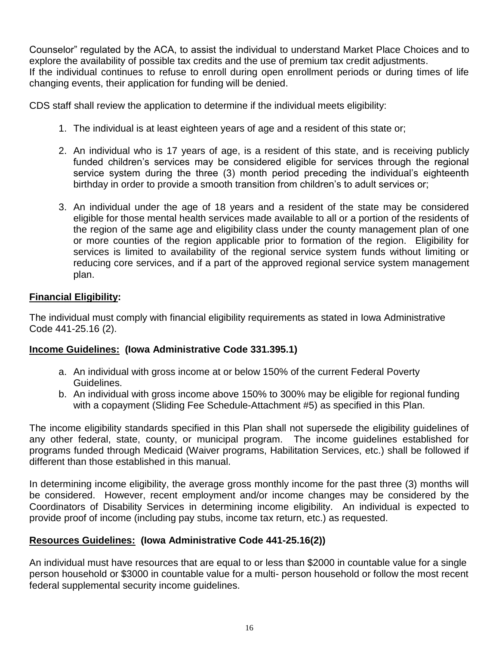Counselor" regulated by the ACA, to assist the individual to understand Market Place Choices and to explore the availability of possible tax credits and the use of premium tax credit adjustments. If the individual continues to refuse to enroll during open enrollment periods or during times of life changing events, their application for funding will be denied.

CDS staff shall review the application to determine if the individual meets eligibility:

- 1. The individual is at least eighteen years of age and a resident of this state or;
- 2. An individual who is 17 years of age, is a resident of this state, and is receiving publicly funded children's services may be considered eligible for services through the regional service system during the three (3) month period preceding the individual's eighteenth birthday in order to provide a smooth transition from children's to adult services or;
- 3. An individual under the age of 18 years and a resident of the state may be considered eligible for those mental health services made available to all or a portion of the residents of the region of the same age and eligibility class under the county management plan of one or more counties of the region applicable prior to formation of the region. Eligibility for services is limited to availability of the regional service system funds without limiting or reducing core services, and if a part of the approved regional service system management plan.

## **Financial Eligibility:**

The individual must comply with financial eligibility requirements as stated in Iowa Administrative Code 441-25.16 (2).

## **Income Guidelines: (Iowa Administrative Code 331.395.1)**

- a. An individual with gross income at or below 150% of the current Federal Poverty Guidelines.
- b. An individual with gross income above 150% to 300% may be eligible for regional funding with a copayment (Sliding Fee Schedule-Attachment #5) as specified in this Plan.

The income eligibility standards specified in this Plan shall not supersede the eligibility guidelines of any other federal, state, county, or municipal program. The income guidelines established for programs funded through Medicaid (Waiver programs, Habilitation Services, etc.) shall be followed if different than those established in this manual.

In determining income eligibility, the average gross monthly income for the past three (3) months will be considered. However, recent employment and/or income changes may be considered by the Coordinators of Disability Services in determining income eligibility. An individual is expected to provide proof of income (including pay stubs, income tax return, etc.) as requested.

## **Resources Guidelines: (Iowa Administrative Code 441-25.16(2))**

An individual must have resources that are equal to or less than \$2000 in countable value for a single person household or \$3000 in countable value for a multi- person household or follow the most recent federal supplemental security income guidelines.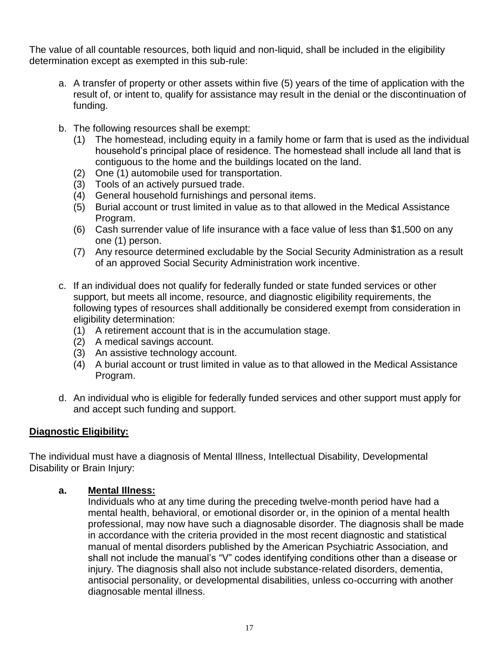The value of all countable resources, both liquid and non-liquid, shall be included in the eligibility determination except as exempted in this sub-rule:

- a. A transfer of property or other assets within five (5) years of the time of application with the result of, or intent to, qualify for assistance may result in the denial or the discontinuation of funding.
- b. The following resources shall be exempt:
	- (1) The homestead, including equity in a family home or farm that is used as the individual household's principal place of residence. The homestead shall include all land that is contiguous to the home and the buildings located on the land.
	- (2) One (1) automobile used for transportation.
	- (3) Tools of an actively pursued trade.
	- (4) General household furnishings and personal items.
	- (5) Burial account or trust limited in value as to that allowed in the Medical Assistance Program.
	- (6) Cash surrender value of life insurance with a face value of less than \$1,500 on any one (1) person.
	- (7) Any resource determined excludable by the Social Security Administration as a result of an approved Social Security Administration work incentive.
- c. If an individual does not qualify for federally funded or state funded services or other support, but meets all income, resource, and diagnostic eligibility requirements, the following types of resources shall additionally be considered exempt from consideration in eligibility determination:
	- (1) A retirement account that is in the accumulation stage.
	- (2) A medical savings account.
	- (3) An assistive technology account.
	- (4) A burial account or trust limited in value as to that allowed in the Medical Assistance Program.
- d. An individual who is eligible for federally funded services and other support must apply for and accept such funding and support.

## **Diagnostic Eligibility:**

The individual must have a diagnosis of Mental Illness, Intellectual Disability, Developmental Disability or Brain Injury:

### **a. Mental Illness:**

Individuals who at any time during the preceding twelve-month period have had a mental health, behavioral, or emotional disorder or, in the opinion of a mental health professional, may now have such a diagnosable disorder. The diagnosis shall be made in accordance with the criteria provided in the most recent diagnostic and statistical manual of mental disorders published by the American Psychiatric Association, and shall not include the manual's "V" codes identifying conditions other than a disease or injury. The diagnosis shall also not include substance-related disorders, dementia, antisocial personality, or developmental disabilities, unless co-occurring with another diagnosable mental illness.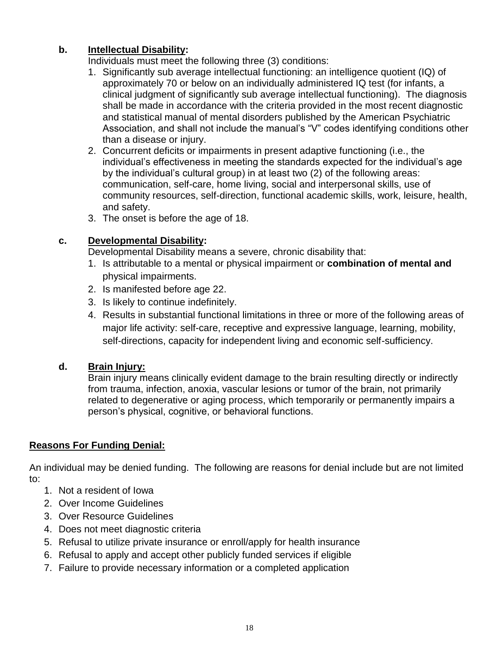## **b. Intellectual Disability:**

Individuals must meet the following three (3) conditions:

- 1. Significantly sub average intellectual functioning: an intelligence quotient (IQ) of approximately 70 or below on an individually administered IQ test (for infants, a clinical judgment of significantly sub average intellectual functioning). The diagnosis shall be made in accordance with the criteria provided in the most recent diagnostic and statistical manual of mental disorders published by the American Psychiatric Association, and shall not include the manual's "V" codes identifying conditions other than a disease or injury.
- 2. Concurrent deficits or impairments in present adaptive functioning (i.e., the individual's effectiveness in meeting the standards expected for the individual's age by the individual's cultural group) in at least two (2) of the following areas: communication, self-care, home living, social and interpersonal skills, use of community resources, self-direction, functional academic skills, work, leisure, health, and safety.
- 3. The onset is before the age of 18.

## **c. Developmental Disability:**

Developmental Disability means a severe, chronic disability that:

- 1. Is attributable to a mental or physical impairment or **combination of mental and** physical impairments.
- 2. Is manifested before age 22.
- 3. Is likely to continue indefinitely.
- 4. Results in substantial functional limitations in three or more of the following areas of major life activity: self-care, receptive and expressive language, learning, mobility, self-directions, capacity for independent living and economic self-sufficiency.

## **d. Brain Injury:**

Brain injury means clinically evident damage to the brain resulting directly or indirectly from trauma, infection, anoxia, vascular lesions or tumor of the brain, not primarily related to degenerative or aging process, which temporarily or permanently impairs a person's physical, cognitive, or behavioral functions.

## **Reasons For Funding Denial:**

An individual may be denied funding. The following are reasons for denial include but are not limited to:

- 1. Not a resident of Iowa
- 2. Over Income Guidelines
- 3. Over Resource Guidelines
- 4. Does not meet diagnostic criteria
- 5. Refusal to utilize private insurance or enroll/apply for health insurance
- 6. Refusal to apply and accept other publicly funded services if eligible
- 7. Failure to provide necessary information or a completed application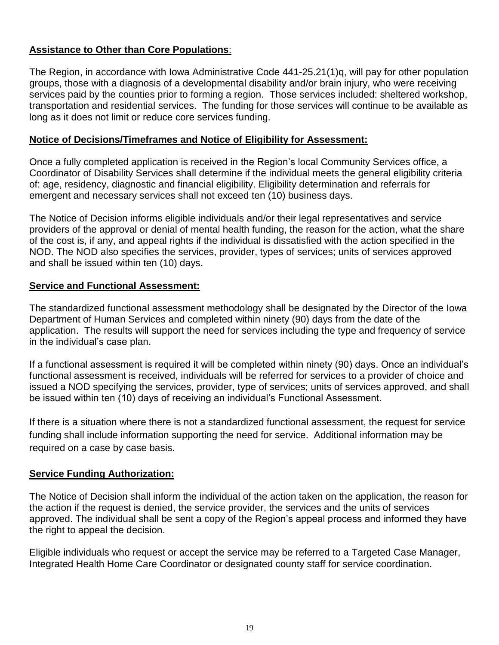## **Assistance to Other than Core Populations**:

The Region, in accordance with Iowa Administrative Code 441-25.21(1)q, will pay for other population groups, those with a diagnosis of a developmental disability and/or brain injury, who were receiving services paid by the counties prior to forming a region. Those services included: sheltered workshop, transportation and residential services. The funding for those services will continue to be available as long as it does not limit or reduce core services funding.

### **Notice of Decisions/Timeframes and Notice of Eligibility for Assessment:**

Once a fully completed application is received in the Region's local Community Services office, a Coordinator of Disability Services shall determine if the individual meets the general eligibility criteria of: age, residency, diagnostic and financial eligibility. Eligibility determination and referrals for emergent and necessary services shall not exceed ten (10) business days.

The Notice of Decision informs eligible individuals and/or their legal representatives and service providers of the approval or denial of mental health funding, the reason for the action, what the share of the cost is, if any, and appeal rights if the individual is dissatisfied with the action specified in the NOD. The NOD also specifies the services, provider, types of services; units of services approved and shall be issued within ten (10) days.

## **Service and Functional Assessment:**

The standardized functional assessment methodology shall be designated by the Director of the Iowa Department of Human Services and completed within ninety (90) days from the date of the application. The results will support the need for services including the type and frequency of service in the individual's case plan.

If a functional assessment is required it will be completed within ninety (90) days. Once an individual's functional assessment is received, individuals will be referred for services to a provider of choice and issued a NOD specifying the services, provider, type of services; units of services approved, and shall be issued within ten (10) days of receiving an individual's Functional Assessment.

If there is a situation where there is not a standardized functional assessment, the request for service funding shall include information supporting the need for service. Additional information may be required on a case by case basis.

## **Service Funding Authorization:**

The Notice of Decision shall inform the individual of the action taken on the application, the reason for the action if the request is denied, the service provider, the services and the units of services approved. The individual shall be sent a copy of the Region's appeal process and informed they have the right to appeal the decision.

Eligible individuals who request or accept the service may be referred to a Targeted Case Manager, Integrated Health Home Care Coordinator or designated county staff for service coordination.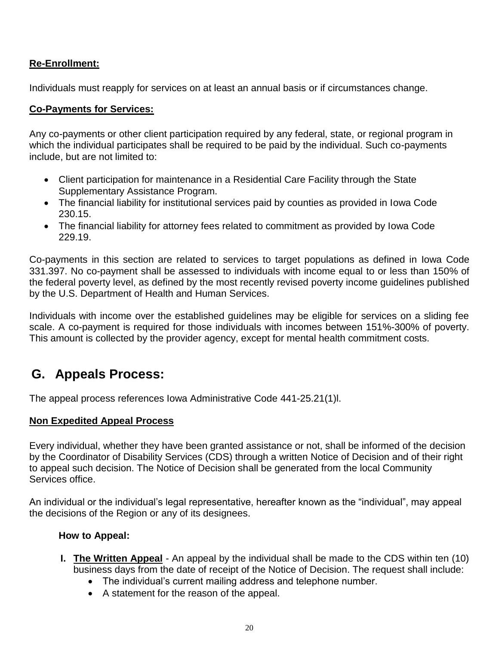## **Re-Enrollment:**

Individuals must reapply for services on at least an annual basis or if circumstances change.

## **Co-Payments for Services:**

Any co-payments or other client participation required by any federal, state, or regional program in which the individual participates shall be required to be paid by the individual. Such co-payments include, but are not limited to:

- Client participation for maintenance in a Residential Care Facility through the State Supplementary Assistance Program.
- The financial liability for institutional services paid by counties as provided in Iowa Code 230.15.
- The financial liability for attorney fees related to commitment as provided by Iowa Code 229.19.

Co-payments in this section are related to services to target populations as defined in Iowa Code 331.397. No co-payment shall be assessed to individuals with income equal to or less than 150% of the federal poverty level, as defined by the most recently revised poverty income guidelines published by the U.S. Department of Health and Human Services.

Individuals with income over the established guidelines may be eligible for services on a sliding fee scale. A co-payment is required for those individuals with incomes between 151%-300% of poverty. This amount is collected by the provider agency, except for mental health commitment costs.

## **G. Appeals Process:**

The appeal process references Iowa Administrative Code 441-25.21(1)l.

### **Non Expedited Appeal Process**

Every individual, whether they have been granted assistance or not, shall be informed of the decision by the Coordinator of Disability Services (CDS) through a written Notice of Decision and of their right to appeal such decision. The Notice of Decision shall be generated from the local Community Services office.

An individual or the individual's legal representative, hereafter known as the "individual", may appeal the decisions of the Region or any of its designees.

### **How to Appeal:**

- **I. The Written Appeal** An appeal by the individual shall be made to the CDS within ten (10) business days from the date of receipt of the Notice of Decision. The request shall include:
	- The individual's current mailing address and telephone number.
	- A statement for the reason of the appeal.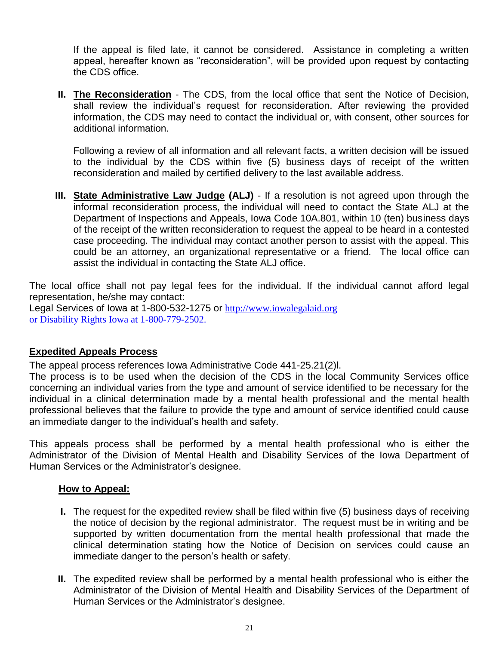If the appeal is filed late, it cannot be considered. Assistance in completing a written appeal, hereafter known as "reconsideration", will be provided upon request by contacting the CDS office.

**II. The Reconsideration** - The CDS, from the local office that sent the Notice of Decision, shall review the individual's request for reconsideration. After reviewing the provided information, the CDS may need to contact the individual or, with consent, other sources for additional information.

Following a review of all information and all relevant facts, a written decision will be issued to the individual by the CDS within five (5) business days of receipt of the written reconsideration and mailed by certified delivery to the last available address.

**III. State Administrative Law Judge (ALJ)** - If a resolution is not agreed upon through the informal reconsideration process, the individual will need to contact the State ALJ at the Department of Inspections and Appeals, Iowa Code 10A.801, within 10 (ten) business days of the receipt of the written reconsideration to request the appeal to be heard in a contested case proceeding. The individual may contact another person to assist with the appeal. This could be an attorney, an organizational representative or a friend. The local office can assist the individual in contacting the State ALJ office.

The local office shall not pay legal fees for the individual. If the individual cannot afford legal representation, he/she may contact:

Legal Services of Iowa at 1-800-532-1275 or http://www.iowalegalaid.org or Disability Rights Iowa at 1-800-779-2502.

## **Expedited Appeals Process**

The appeal process references Iowa Administrative Code 441-25.21(2)l.

The process is to be used when the decision of the CDS in the local Community Services office concerning an individual varies from the type and amount of service identified to be necessary for the individual in a clinical determination made by a mental health professional and the mental health professional believes that the failure to provide the type and amount of service identified could cause an immediate danger to the individual's health and safety.

This appeals process shall be performed by a mental health professional who is either the Administrator of the Division of Mental Health and Disability Services of the Iowa Department of Human Services or the Administrator's designee.

## **How to Appeal:**

- **I.** The request for the expedited review shall be filed within five (5) business days of receiving the notice of decision by the regional administrator. The request must be in writing and be supported by written documentation from the mental health professional that made the clinical determination stating how the Notice of Decision on services could cause an immediate danger to the person's health or safety.
- **II.** The expedited review shall be performed by a mental health professional who is either the Administrator of the Division of Mental Health and Disability Services of the Department of Human Services or the Administrator's designee.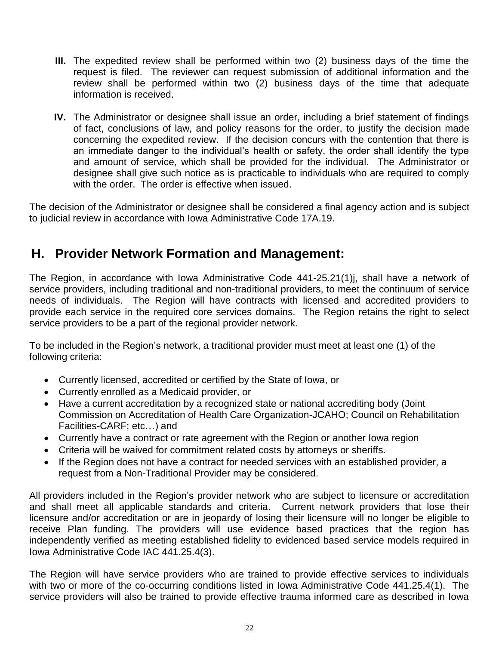- **III.** The expedited review shall be performed within two (2) business days of the time the request is filed. The reviewer can request submission of additional information and the review shall be performed within two (2) business days of the time that adequate information is received.
- **IV.** The Administrator or designee shall issue an order, including a brief statement of findings of fact, conclusions of law, and policy reasons for the order, to justify the decision made concerning the expedited review. If the decision concurs with the contention that there is an immediate danger to the individual's health or safety, the order shall identify the type and amount of service, which shall be provided for the individual. The Administrator or designee shall give such notice as is practicable to individuals who are required to comply with the order. The order is effective when issued.

The decision of the Administrator or designee shall be considered a final agency action and is subject to judicial review in accordance with Iowa Administrative Code 17A.19.

## **H. Provider Network Formation and Management:**

The Region, in accordance with Iowa Administrative Code 441-25.21(1)j, shall have a network of service providers, including traditional and non-traditional providers, to meet the continuum of service needs of individuals. The Region will have contracts with licensed and accredited providers to provide each service in the required core services domains. The Region retains the right to select service providers to be a part of the regional provider network.

To be included in the Region's network, a traditional provider must meet at least one (1) of the following criteria:

- Currently licensed, accredited or certified by the State of Iowa, or
- Currently enrolled as a Medicaid provider, or
- Have a current accreditation by a recognized state or national accrediting body (Joint Commission on Accreditation of Health Care Organization-JCAHO; Council on Rehabilitation Facilities-CARF; etc…) and
- Currently have a contract or rate agreement with the Region or another Iowa region
- Criteria will be waived for commitment related costs by attorneys or sheriffs.
- If the Region does not have a contract for needed services with an established provider, a request from a Non-Traditional Provider may be considered.

All providers included in the Region's provider network who are subject to licensure or accreditation and shall meet all applicable standards and criteria. Current network providers that lose their licensure and/or accreditation or are in jeopardy of losing their licensure will no longer be eligible to receive Plan funding. The providers will use evidence based practices that the region has independently verified as meeting established fidelity to evidenced based service models required in Iowa Administrative Code IAC 441.25.4(3).

The Region will have service providers who are trained to provide effective services to individuals with two or more of the co-occurring conditions listed in Iowa Administrative Code 441.25.4(1). The service providers will also be trained to provide effective trauma informed care as described in Iowa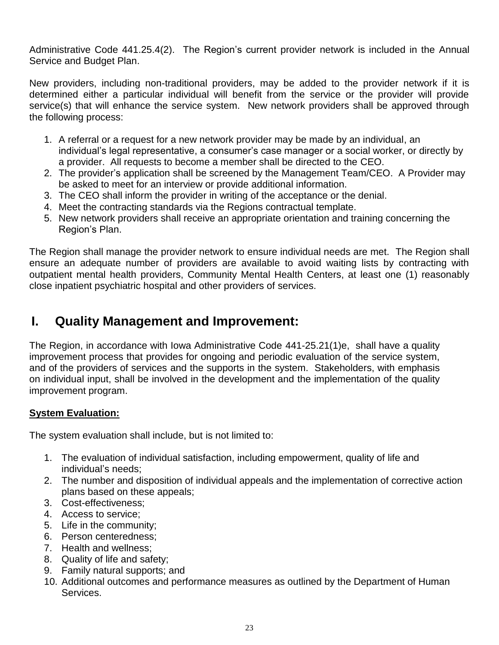Administrative Code 441.25.4(2). The Region's current provider network is included in the Annual Service and Budget Plan.

New providers, including non-traditional providers, may be added to the provider network if it is determined either a particular individual will benefit from the service or the provider will provide service(s) that will enhance the service system. New network providers shall be approved through the following process:

- 1. A referral or a request for a new network provider may be made by an individual, an individual's legal representative, a consumer's case manager or a social worker, or directly by a provider. All requests to become a member shall be directed to the CEO.
- 2. The provider's application shall be screened by the Management Team/CEO. A Provider may be asked to meet for an interview or provide additional information.
- 3. The CEO shall inform the provider in writing of the acceptance or the denial.
- 4. Meet the contracting standards via the Regions contractual template.
- 5. New network providers shall receive an appropriate orientation and training concerning the Region's Plan.

The Region shall manage the provider network to ensure individual needs are met. The Region shall ensure an adequate number of providers are available to avoid waiting lists by contracting with outpatient mental health providers, Community Mental Health Centers, at least one (1) reasonably close inpatient psychiatric hospital and other providers of services.

## **I. Quality Management and Improvement:**

The Region, in accordance with Iowa Administrative Code 441-25.21(1)e, shall have a quality improvement process that provides for ongoing and periodic evaluation of the service system, and of the providers of services and the supports in the system. Stakeholders, with emphasis on individual input, shall be involved in the development and the implementation of the quality improvement program.

## **System Evaluation:**

The system evaluation shall include, but is not limited to:

- 1. The evaluation of individual satisfaction, including empowerment, quality of life and individual's needs;
- 2. The number and disposition of individual appeals and the implementation of corrective action plans based on these appeals;
- 3. Cost-effectiveness;
- 4. Access to service;
- 5. Life in the community;
- 6. Person centeredness;
- 7. Health and wellness;
- 8. Quality of life and safety;
- 9. Family natural supports; and
- 10. Additional outcomes and performance measures as outlined by the Department of Human Services.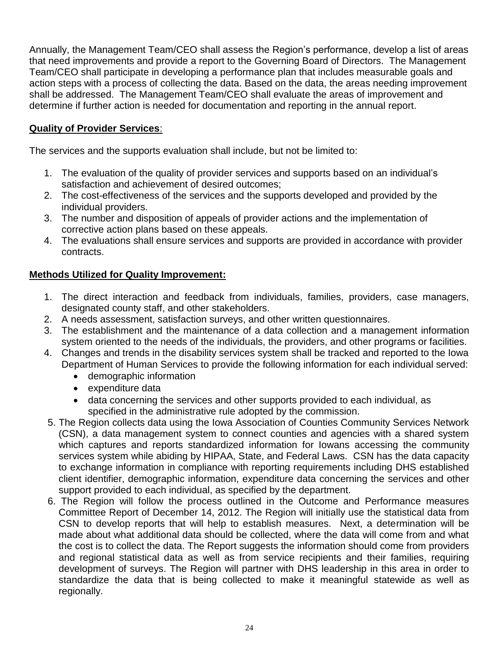Annually, the Management Team/CEO shall assess the Region's performance, develop a list of areas that need improvements and provide a report to the Governing Board of Directors. The Management Team/CEO shall participate in developing a performance plan that includes measurable goals and action steps with a process of collecting the data. Based on the data, the areas needing improvement shall be addressed. The Management Team/CEO shall evaluate the areas of improvement and determine if further action is needed for documentation and reporting in the annual report.

## **Quality of Provider Services**:

The services and the supports evaluation shall include, but not be limited to:

- 1. The evaluation of the quality of provider services and supports based on an individual's satisfaction and achievement of desired outcomes;
- 2. The cost-effectiveness of the services and the supports developed and provided by the individual providers.
- 3. The number and disposition of appeals of provider actions and the implementation of corrective action plans based on these appeals.
- 4. The evaluations shall ensure services and supports are provided in accordance with provider contracts.

## **Methods Utilized for Quality Improvement:**

- 1. The direct interaction and feedback from individuals, families, providers, case managers, designated county staff, and other stakeholders.
- 2. A needs assessment, satisfaction surveys, and other written questionnaires.
- 3. The establishment and the maintenance of a data collection and a management information system oriented to the needs of the individuals, the providers, and other programs or facilities.
- 4. Changes and trends in the disability services system shall be tracked and reported to the Iowa Department of Human Services to provide the following information for each individual served:
	- demographic information
	- expenditure data
	- data concerning the services and other supports provided to each individual, as specified in the administrative rule adopted by the commission.
- 5. The Region collects data using the Iowa Association of Counties Community Services Network (CSN), a data management system to connect counties and agencies with a shared system which captures and reports standardized information for Iowans accessing the community services system while abiding by HIPAA, State, and Federal Laws. CSN has the data capacity to exchange information in compliance with reporting requirements including DHS established client identifier, demographic information, expenditure data concerning the services and other support provided to each individual, as specified by the department.
- 6. The Region will follow the process outlined in the Outcome and Performance measures Committee Report of December 14, 2012. The Region will initially use the statistical data from CSN to develop reports that will help to establish measures. Next, a determination will be made about what additional data should be collected, where the data will come from and what the cost is to collect the data. The Report suggests the information should come from providers and regional statistical data as well as from service recipients and their families, requiring development of surveys. The Region will partner with DHS leadership in this area in order to standardize the data that is being collected to make it meaningful statewide as well as regionally.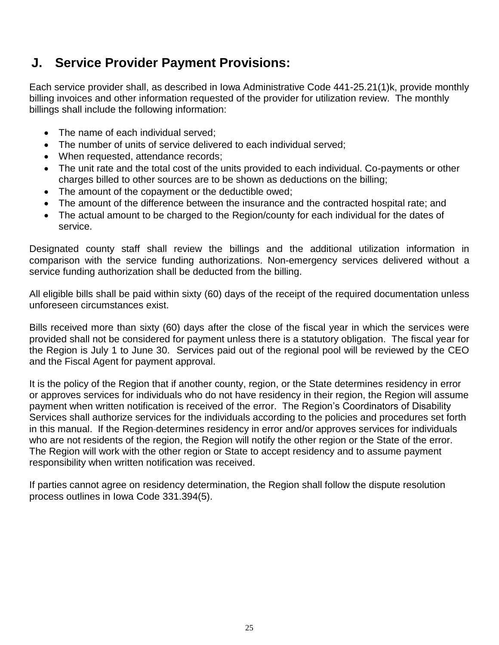## **J. Service Provider Payment Provisions:**

Each service provider shall, as described in Iowa Administrative Code 441-25.21(1)k, provide monthly billing invoices and other information requested of the provider for utilization review. The monthly billings shall include the following information:

- The name of each individual served;
- The number of units of service delivered to each individual served:
- When requested, attendance records;
- The unit rate and the total cost of the units provided to each individual. Co-payments or other charges billed to other sources are to be shown as deductions on the billing;
- The amount of the copayment or the deductible owed;
- The amount of the difference between the insurance and the contracted hospital rate; and
- The actual amount to be charged to the Region/county for each individual for the dates of service.

Designated county staff shall review the billings and the additional utilization information in comparison with the service funding authorizations. Non-emergency services delivered without a service funding authorization shall be deducted from the billing.

All eligible bills shall be paid within sixty (60) days of the receipt of the required documentation unless unforeseen circumstances exist.

Bills received more than sixty (60) days after the close of the fiscal year in which the services were provided shall not be considered for payment unless there is a statutory obligation. The fiscal year for the Region is July 1 to June 30. Services paid out of the regional pool will be reviewed by the CEO and the Fiscal Agent for payment approval.

It is the policy of the Region that if another county, region, or the State determines residency in error or approves services for individuals who do not have residency in their region, the Region will assume payment when written notification is received of the error. The Region's Coordinators of Disability Services shall authorize services for the individuals according to the policies and procedures set forth in this manual. If the Region determines residency in error and/or approves services for individuals who are not residents of the region, the Region will notify the other region or the State of the error. The Region will work with the other region or State to accept residency and to assume payment responsibility when written notification was received.

If parties cannot agree on residency determination, the Region shall follow the dispute resolution process outlines in Iowa Code 331.394(5).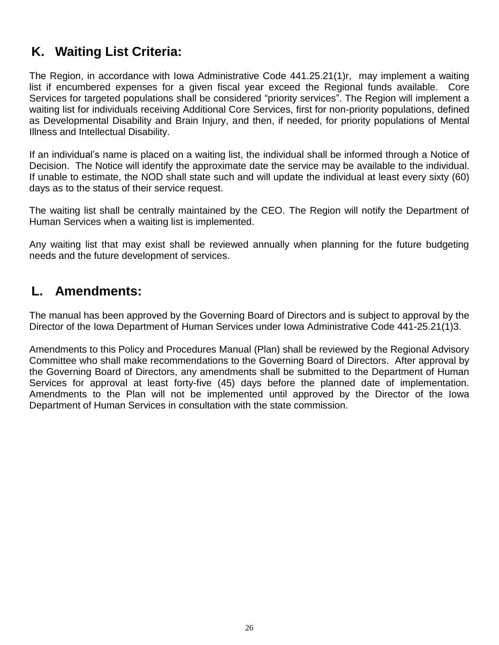# **K. Waiting List Criteria:**

The Region, in accordance with Iowa Administrative Code 441.25.21(1)r, may implement a waiting list if encumbered expenses for a given fiscal year exceed the Regional funds available. Core Services for targeted populations shall be considered "priority services". The Region will implement a waiting list for individuals receiving Additional Core Services, first for non-priority populations, defined as Developmental Disability and Brain Injury, and then, if needed, for priority populations of Mental Illness and Intellectual Disability.

If an individual's name is placed on a waiting list, the individual shall be informed through a Notice of Decision. The Notice will identify the approximate date the service may be available to the individual. If unable to estimate, the NOD shall state such and will update the individual at least every sixty (60) days as to the status of their service request.

The waiting list shall be centrally maintained by the CEO. The Region will notify the Department of Human Services when a waiting list is implemented.

Any waiting list that may exist shall be reviewed annually when planning for the future budgeting needs and the future development of services.

## **L. Amendments:**

The manual has been approved by the Governing Board of Directors and is subject to approval by the Director of the Iowa Department of Human Services under Iowa Administrative Code 441-25.21(1)3.

Amendments to this Policy and Procedures Manual (Plan) shall be reviewed by the Regional Advisory Committee who shall make recommendations to the Governing Board of Directors. After approval by the Governing Board of Directors, any amendments shall be submitted to the Department of Human Services for approval at least forty-five (45) days before the planned date of implementation. Amendments to the Plan will not be implemented until approved by the Director of the Iowa Department of Human Services in consultation with the state commission.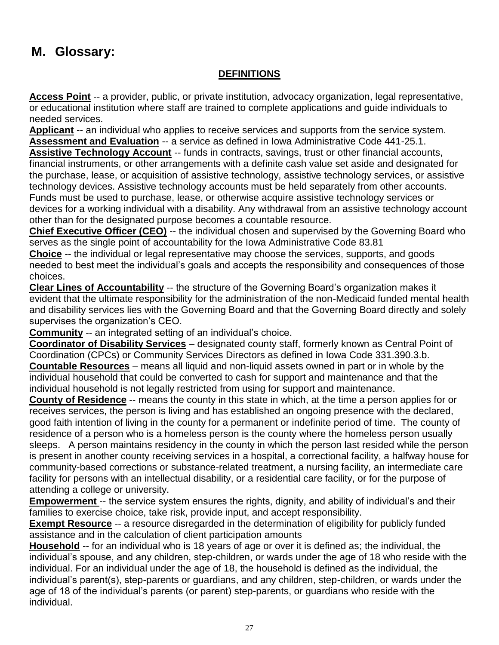# **M. Glossary:**

## **DEFINITIONS**

**Access Point** -- a provider, public, or private institution, advocacy organization, legal representative, or educational institution where staff are trained to complete applications and guide individuals to needed services.

**Applicant** -- an individual who applies to receive services and supports from the service system. **Assessment and Evaluation** -- a service as defined in Iowa Administrative Code 441-25.1.

**Assistive Technology Account** -- funds in contracts, savings, trust or other financial accounts, financial instruments, or other arrangements with a definite cash value set aside and designated for the purchase, lease, or acquisition of assistive technology, assistive technology services, or assistive technology devices. Assistive technology accounts must be held separately from other accounts. Funds must be used to purchase, lease, or otherwise acquire assistive technology services or devices for a working individual with a disability. Any withdrawal from an assistive technology account other than for the designated purpose becomes a countable resource.

**Chief Executive Officer (CEO)** -- the individual chosen and supervised by the Governing Board who serves as the single point of accountability for the Iowa Administrative Code 83.81

**Choice** -- the individual or legal representative may choose the services, supports, and goods needed to best meet the individual's goals and accepts the responsibility and consequences of those choices.

**Clear Lines of Accountability** -- the structure of the Governing Board's organization makes it evident that the ultimate responsibility for the administration of the non-Medicaid funded mental health and disability services lies with the Governing Board and that the Governing Board directly and solely supervises the organization's CEO.

**Community** -- an integrated setting of an individual's choice.

**Coordinator of Disability Services** – designated county staff, formerly known as Central Point of Coordination (CPCs) or Community Services Directors as defined in Iowa Code 331.390.3.b. **Countable Resources** – means all liquid and non-liquid assets owned in part or in whole by the individual household that could be converted to cash for support and maintenance and that the individual household is not legally restricted from using for support and maintenance.

**County of Residence** -- means the county in this state in which, at the time a person applies for or receives services, the person is living and has established an ongoing presence with the declared, good faith intention of living in the county for a permanent or indefinite period of time. The county of residence of a person who is a homeless person is the county where the homeless person usually sleeps. A person maintains residency in the county in which the person last resided while the person is present in another county receiving services in a hospital, a correctional facility, a halfway house for community-based corrections or substance-related treatment, a nursing facility, an intermediate care facility for persons with an intellectual disability, or a residential care facility, or for the purpose of attending a college or university.

**Empowerment** -- the service system ensures the rights, dignity, and ability of individual's and their families to exercise choice, take risk, provide input, and accept responsibility.

**Exempt Resource** -- a resource disregarded in the determination of eligibility for publicly funded assistance and in the calculation of client participation amounts

**Household** -- for an individual who is 18 years of age or over it is defined as; the individual, the individual's spouse, and any children, step-children, or wards under the age of 18 who reside with the individual. For an individual under the age of 18, the household is defined as the individual, the individual's parent(s), step-parents or guardians, and any children, step-children, or wards under the age of 18 of the individual's parents (or parent) step-parents, or guardians who reside with the individual.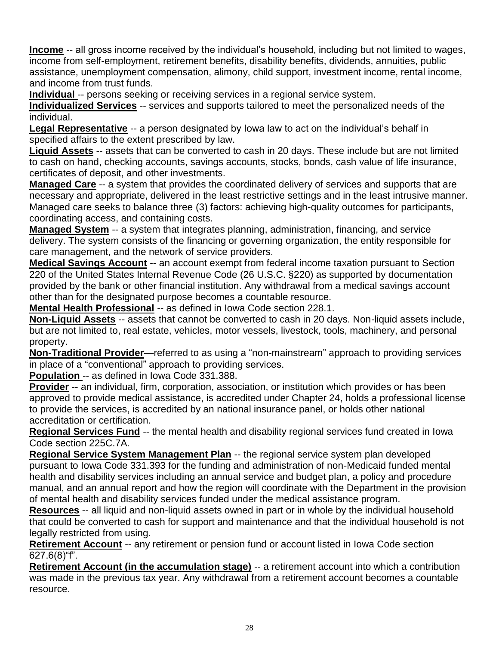**Income** -- all gross income received by the individual's household, including but not limited to wages, income from self-employment, retirement benefits, disability benefits, dividends, annuities, public assistance, unemployment compensation, alimony, child support, investment income, rental income, and income from trust funds.

**Individual** -- persons seeking or receiving services in a regional service system.

**Individualized Services** -- services and supports tailored to meet the personalized needs of the individual.

**Legal Representative** -- a person designated by Iowa law to act on the individual's behalf in specified affairs to the extent prescribed by law.

**Liquid Assets** -- assets that can be converted to cash in 20 days. These include but are not limited to cash on hand, checking accounts, savings accounts, stocks, bonds, cash value of life insurance, certificates of deposit, and other investments.

**Managed Care** -- a system that provides the coordinated delivery of services and supports that are necessary and appropriate, delivered in the least restrictive settings and in the least intrusive manner. Managed care seeks to balance three (3) factors: achieving high-quality outcomes for participants, coordinating access, and containing costs.

**Managed System** -- a system that integrates planning, administration, financing, and service delivery. The system consists of the financing or governing organization, the entity responsible for care management, and the network of service providers.

**Medical Savings Account** -- an account exempt from federal income taxation pursuant to Section 220 of the United States Internal Revenue Code (26 U.S.C. §220) as supported by documentation provided by the bank or other financial institution. Any withdrawal from a medical savings account other than for the designated purpose becomes a countable resource.

**Mental Health Professional** -- as defined in Iowa Code section 228.1.

**Non-Liquid Assets** -- assets that cannot be converted to cash in 20 days. Non-liquid assets include, but are not limited to, real estate, vehicles, motor vessels, livestock, tools, machinery, and personal property.

**Non-Traditional Provider**—referred to as using a "non-mainstream" approach to providing services in place of a "conventional" approach to providing services.

**Population** -- as defined in Iowa Code 331.388.

**Provider** -- an individual, firm, corporation, association, or institution which provides or has been approved to provide medical assistance, is accredited under Chapter 24, holds a professional license to provide the services, is accredited by an national insurance panel, or holds other national accreditation or certification.

**Regional Services Fund** -- the mental health and disability regional services fund created in Iowa Code section 225C.7A.

**Regional Service System Management Plan** -- the regional service system plan developed pursuant to Iowa Code 331.393 for the funding and administration of non-Medicaid funded mental health and disability services including an annual service and budget plan, a policy and procedure manual, and an annual report and how the region will coordinate with the Department in the provision of mental health and disability services funded under the medical assistance program.

**Resources** -- all liquid and non-liquid assets owned in part or in whole by the individual household that could be converted to cash for support and maintenance and that the individual household is not legally restricted from using.

**Retirement Account** -- any retirement or pension fund or account listed in Iowa Code section  $627.6(8)$ "f".

**Retirement Account (in the accumulation stage)** -- a retirement account into which a contribution was made in the previous tax year. Any withdrawal from a retirement account becomes a countable resource.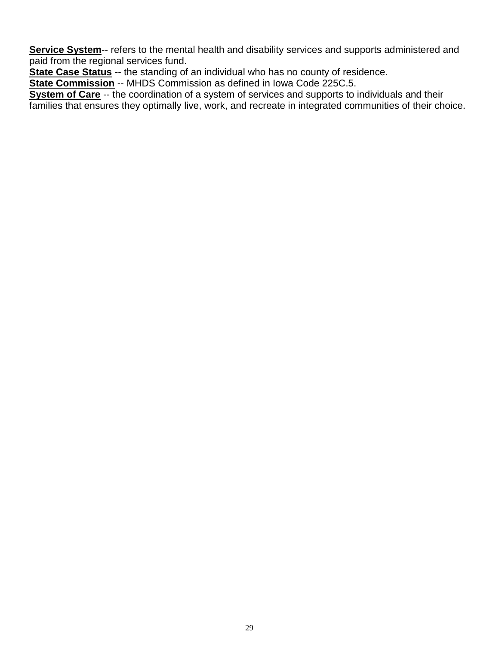**Service System--** refers to the mental health and disability services and supports administered and paid from the regional services fund.

**State Case Status** -- the standing of an individual who has no county of residence.

**State Commission** -- MHDS Commission as defined in Iowa Code 225C.5.

**System of Care** -- the coordination of a system of services and supports to individuals and their families that ensures they optimally live, work, and recreate in integrated communities of their choice.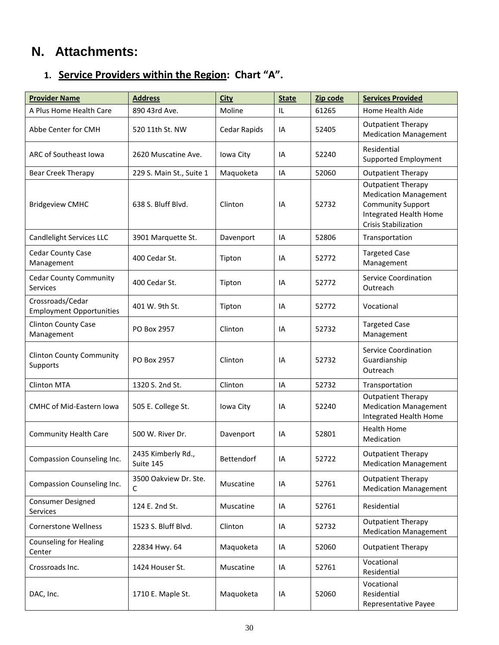# **N. Attachments:**

## **1. Service Providers within the Region: Chart "A".**

| <b>Provider Name</b>                                | <b>Address</b>                  | <b>City</b>  | <b>State</b> | Zip code | <b>Services Provided</b>                                                                                                                       |
|-----------------------------------------------------|---------------------------------|--------------|--------------|----------|------------------------------------------------------------------------------------------------------------------------------------------------|
| A Plus Home Health Care                             | 890 43rd Ave.                   | Moline       | IL           | 61265    | Home Health Aide                                                                                                                               |
| Abbe Center for CMH                                 | 520 11th St. NW                 | Cedar Rapids | IA           | 52405    | <b>Outpatient Therapy</b><br><b>Medication Management</b>                                                                                      |
| ARC of Southeast Iowa                               | 2620 Muscatine Ave.             | Iowa City    | IA           | 52240    | Residential<br>Supported Employment                                                                                                            |
| <b>Bear Creek Therapy</b>                           | 229 S. Main St., Suite 1        | Maquoketa    | IA           | 52060    | <b>Outpatient Therapy</b>                                                                                                                      |
| <b>Bridgeview CMHC</b>                              | 638 S. Bluff Blvd.              | Clinton      | IA           | 52732    | <b>Outpatient Therapy</b><br><b>Medication Management</b><br><b>Community Support</b><br>Integrated Health Home<br><b>Crisis Stabilization</b> |
| Candlelight Services LLC                            | 3901 Marquette St.              | Davenport    | IA           | 52806    | Transportation                                                                                                                                 |
| <b>Cedar County Case</b><br>Management              | 400 Cedar St.                   | Tipton       | IA           | 52772    | <b>Targeted Case</b><br>Management                                                                                                             |
| <b>Cedar County Community</b><br><b>Services</b>    | 400 Cedar St.                   | Tipton       | IA           | 52772    | <b>Service Coordination</b><br>Outreach                                                                                                        |
| Crossroads/Cedar<br><b>Employment Opportunities</b> | 401 W. 9th St.                  | Tipton       | IA           | 52772    | Vocational                                                                                                                                     |
| Clinton County Case<br>Management                   | PO Box 2957                     | Clinton      | IA           | 52732    | <b>Targeted Case</b><br>Management                                                                                                             |
| <b>Clinton County Community</b><br>Supports         | PO Box 2957                     | Clinton      | IA           | 52732    | Service Coordination<br>Guardianship<br>Outreach                                                                                               |
| <b>Clinton MTA</b>                                  | 1320 S. 2nd St.                 | Clinton      | IA           | 52732    | Transportation                                                                                                                                 |
| <b>CMHC of Mid-Eastern Iowa</b>                     | 505 E. College St.              | Iowa City    | IA           | 52240    | <b>Outpatient Therapy</b><br><b>Medication Management</b><br>Integrated Health Home                                                            |
| <b>Community Health Care</b>                        | 500 W. River Dr.                | Davenport    | IA           | 52801    | <b>Health Home</b><br>Medication                                                                                                               |
| Compassion Counseling Inc.                          | 2435 Kimberly Rd.,<br>Suite 145 | Bettendorf   | IA           | 52722    | <b>Outpatient Therapy</b><br><b>Medication Management</b>                                                                                      |
| Compassion Counseling Inc.                          | 3500 Oakview Dr. Ste.<br>C      | Muscatine    | IA           | 52761    | <b>Outpatient Therapy</b><br><b>Medication Management</b>                                                                                      |
| <b>Consumer Designed</b><br>Services                | 124 E. 2nd St.                  | Muscatine    | IA           | 52761    | Residential                                                                                                                                    |
| <b>Cornerstone Wellness</b>                         | 1523 S. Bluff Blvd.             | Clinton      | IA           | 52732    | <b>Outpatient Therapy</b><br><b>Medication Management</b>                                                                                      |
| <b>Counseling for Healing</b><br>Center             | 22834 Hwy. 64                   | Maquoketa    | IA           | 52060    | <b>Outpatient Therapy</b>                                                                                                                      |
| Crossroads Inc.                                     | 1424 Houser St.                 | Muscatine    | IA           | 52761    | Vocational<br>Residential                                                                                                                      |
| DAC, Inc.                                           | 1710 E. Maple St.               | Maquoketa    | IA           | 52060    | Vocational<br>Residential<br>Representative Payee                                                                                              |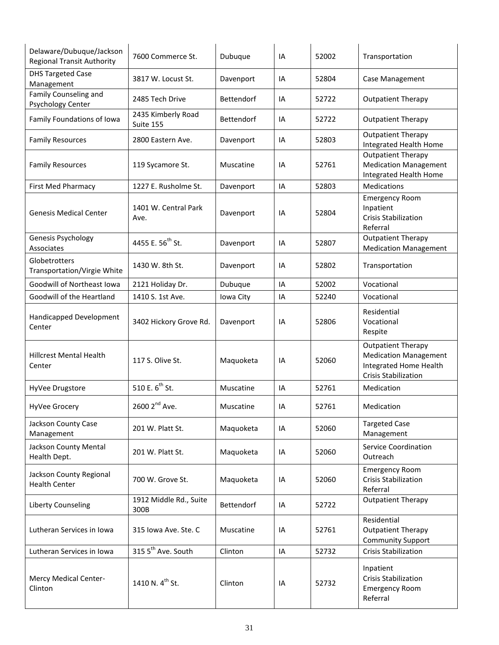| Delaware/Dubuque/Jackson<br><b>Regional Transit Authority</b> | 7600 Commerce St.               | Dubuque    | IA | 52002 | Transportation                                                                                                     |
|---------------------------------------------------------------|---------------------------------|------------|----|-------|--------------------------------------------------------------------------------------------------------------------|
| <b>DHS Targeted Case</b><br>Management                        | 3817 W. Locust St.              | Davenport  | IA | 52804 | Case Management                                                                                                    |
| Family Counseling and<br>Psychology Center                    | 2485 Tech Drive                 | Bettendorf | IA | 52722 | <b>Outpatient Therapy</b>                                                                                          |
| Family Foundations of Iowa                                    | 2435 Kimberly Road<br>Suite 155 | Bettendorf | IA | 52722 | <b>Outpatient Therapy</b>                                                                                          |
| <b>Family Resources</b>                                       | 2800 Eastern Ave.               | Davenport  | IA | 52803 | <b>Outpatient Therapy</b><br>Integrated Health Home                                                                |
| <b>Family Resources</b>                                       | 119 Sycamore St.                | Muscatine  | IA | 52761 | <b>Outpatient Therapy</b><br><b>Medication Management</b><br>Integrated Health Home                                |
| First Med Pharmacy                                            | 1227 E. Rusholme St.            | Davenport  | IA | 52803 | Medications                                                                                                        |
| <b>Genesis Medical Center</b>                                 | 1401 W. Central Park<br>Ave.    | Davenport  | ΙA | 52804 | <b>Emergency Room</b><br>Inpatient<br><b>Crisis Stabilization</b><br>Referral                                      |
| Genesis Psychology<br>Associates                              | 4455 E. 56 <sup>th</sup> St.    | Davenport  | ΙA | 52807 | <b>Outpatient Therapy</b><br><b>Medication Management</b>                                                          |
| Globetrotters<br>Transportation/Virgie White                  | 1430 W. 8th St.                 | Davenport  | IA | 52802 | Transportation                                                                                                     |
| Goodwill of Northeast Iowa                                    | 2121 Holiday Dr.                | Dubuque    | IA | 52002 | Vocational                                                                                                         |
| Goodwill of the Heartland                                     | 1410 S. 1st Ave.                | Iowa City  | IA | 52240 | Vocational                                                                                                         |
| Handicapped Development<br>Center                             | 3402 Hickory Grove Rd.          | Davenport  | IA | 52806 | Residential<br>Vocational<br>Respite                                                                               |
| <b>Hillcrest Mental Health</b><br>Center                      | 117 S. Olive St.                | Maquoketa  | IA | 52060 | <b>Outpatient Therapy</b><br><b>Medication Management</b><br>Integrated Home Health<br><b>Crisis Stabilization</b> |
| HyVee Drugstore                                               | 510 E. 6 <sup>th</sup> St.      | Muscatine  | IA | 52761 | Medication                                                                                                         |
| HyVee Grocery                                                 | 2600 2 <sup>nd</sup> Ave.       | Muscatine  | IA | 52761 | Medication                                                                                                         |
| Jackson County Case<br>Management                             | 201 W. Platt St.                | Maquoketa  | ΙA | 52060 | <b>Targeted Case</b><br>Management                                                                                 |
| Jackson County Mental<br>Health Dept.                         | 201 W. Platt St.                | Maquoketa  | IA | 52060 | <b>Service Coordination</b><br>Outreach                                                                            |
| Jackson County Regional<br><b>Health Center</b>               | 700 W. Grove St.                | Maquoketa  | IA | 52060 | <b>Emergency Room</b><br><b>Crisis Stabilization</b><br>Referral                                                   |
| Liberty Counseling                                            | 1912 Middle Rd., Suite<br>300B  | Bettendorf | IA | 52722 | <b>Outpatient Therapy</b>                                                                                          |
| Lutheran Services in Iowa                                     | 315 Iowa Ave. Ste. C            | Muscatine  | IA | 52761 | Residential<br><b>Outpatient Therapy</b><br><b>Community Support</b>                                               |
| Lutheran Services in Iowa                                     | 315 5 <sup>th</sup> Ave. South  | Clinton    | IA | 52732 | <b>Crisis Stabilization</b>                                                                                        |
| Mercy Medical Center-<br>Clinton                              | 1410 N. 4 <sup>th</sup> St.     | Clinton    | IA | 52732 | Inpatient<br><b>Crisis Stabilization</b><br><b>Emergency Room</b><br>Referral                                      |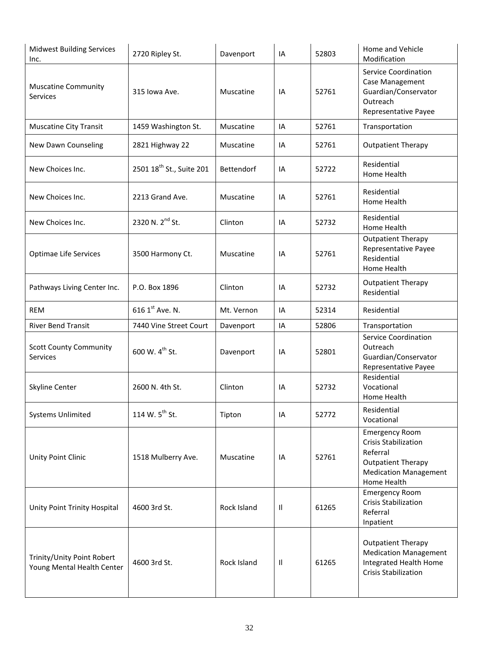| <b>Midwest Building Services</b><br>Inc.                 | 2720 Ripley St.                      | Davenport   | IA | 52803 | Home and Vehicle<br>Modification                                                                                                             |
|----------------------------------------------------------|--------------------------------------|-------------|----|-------|----------------------------------------------------------------------------------------------------------------------------------------------|
| <b>Muscatine Community</b><br>Services                   | 315 Iowa Ave.                        | Muscatine   | IA | 52761 | <b>Service Coordination</b><br>Case Management<br>Guardian/Conservator<br>Outreach<br>Representative Payee                                   |
| <b>Muscatine City Transit</b>                            | 1459 Washington St.                  | Muscatine   | IA | 52761 | Transportation                                                                                                                               |
| New Dawn Counseling                                      | 2821 Highway 22                      | Muscatine   | IA | 52761 | <b>Outpatient Therapy</b>                                                                                                                    |
| New Choices Inc.                                         | 2501 18 <sup>th</sup> St., Suite 201 | Bettendorf  | IA | 52722 | Residential<br>Home Health                                                                                                                   |
| New Choices Inc.                                         | 2213 Grand Ave.                      | Muscatine   | IA | 52761 | Residential<br>Home Health                                                                                                                   |
| New Choices Inc.                                         | 2320 N. 2 <sup>nd</sup> St.          | Clinton     | IA | 52732 | Residential<br>Home Health                                                                                                                   |
| <b>Optimae Life Services</b>                             | 3500 Harmony Ct.                     | Muscatine   | IA | 52761 | <b>Outpatient Therapy</b><br>Representative Payee<br>Residential<br>Home Health                                                              |
| Pathways Living Center Inc.                              | P.O. Box 1896                        | Clinton     | IA | 52732 | <b>Outpatient Therapy</b><br>Residential                                                                                                     |
| <b>REM</b>                                               | 616 1 <sup>st</sup> Ave. N.          | Mt. Vernon  | IA | 52314 | Residential                                                                                                                                  |
| <b>River Bend Transit</b>                                | 7440 Vine Street Court               | Davenport   | IA | 52806 | Transportation                                                                                                                               |
| <b>Scott County Community</b><br>Services                | 600 W. 4 <sup>th</sup> St.           | Davenport   | IA | 52801 | <b>Service Coordination</b><br>Outreach<br>Guardian/Conservator<br>Representative Payee                                                      |
| Skyline Center                                           | 2600 N. 4th St.                      | Clinton     | IA | 52732 | Residential<br>Vocational<br>Home Health                                                                                                     |
| <b>Systems Unlimited</b>                                 | 114 W. $5^{th}$ St.                  | Tipton      | IA | 52772 | Residential<br>Vocational                                                                                                                    |
| Unity Point Clinic                                       | 1518 Mulberry Ave.                   | Muscatine   | IA | 52761 | <b>Emergency Room</b><br><b>Crisis Stabilization</b><br>Referral<br><b>Outpatient Therapy</b><br><b>Medication Management</b><br>Home Health |
| Unity Point Trinity Hospital                             | 4600 3rd St.                         | Rock Island | Ш  | 61265 | <b>Emergency Room</b><br><b>Crisis Stabilization</b><br>Referral<br>Inpatient                                                                |
| Trinity/Unity Point Robert<br>Young Mental Health Center | 4600 3rd St.                         | Rock Island | H  | 61265 | <b>Outpatient Therapy</b><br><b>Medication Management</b><br>Integrated Health Home<br><b>Crisis Stabilization</b>                           |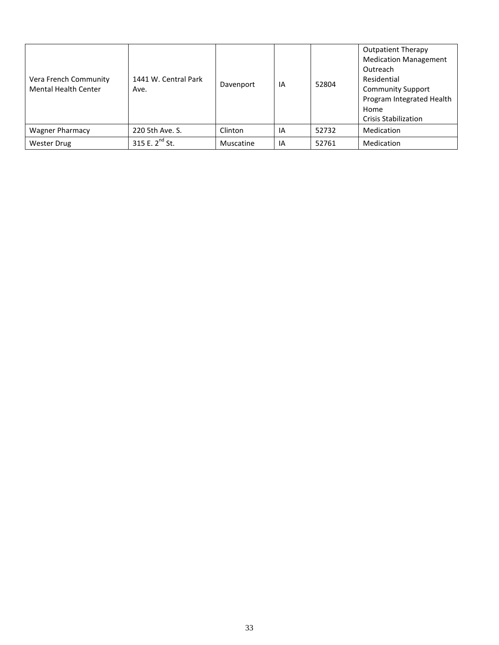| Vera French Community<br><b>Mental Health Center</b> | 1441 W. Central Park<br>Ave. | Davenport | IA | 52804 | <b>Outpatient Therapy</b><br><b>Medication Management</b><br>Outreach<br>Residential<br><b>Community Support</b><br>Program Integrated Health<br>Home<br><b>Crisis Stabilization</b> |
|------------------------------------------------------|------------------------------|-----------|----|-------|--------------------------------------------------------------------------------------------------------------------------------------------------------------------------------------|
| Wagner Pharmacy                                      | 220 5th Ave. S.              | Clinton   | IA | 52732 | Medication                                                                                                                                                                           |
| <b>Wester Drug</b>                                   | 315 E. $2^{nd}$ St.          | Muscatine | IA | 52761 | Medication                                                                                                                                                                           |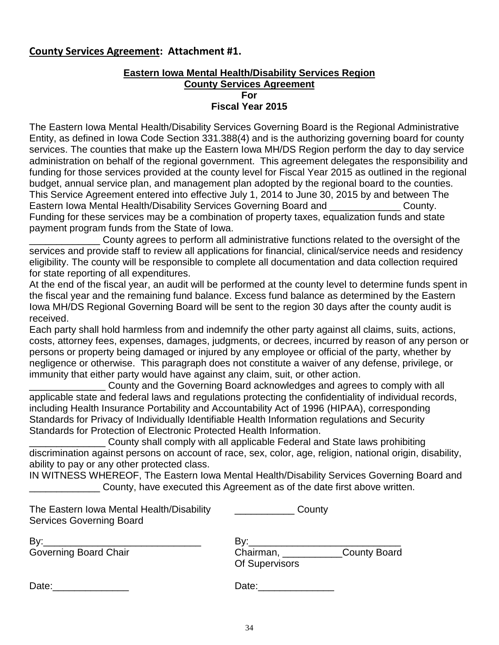## **County Services Agreement: Attachment #1.**

### **Eastern Iowa Mental Health/Disability Services Region County Services Agreement For Fiscal Year 2015**

The Eastern Iowa Mental Health/Disability Services Governing Board is the Regional Administrative Entity, as defined in Iowa Code Section 331.388(4) and is the authorizing governing board for county services. The counties that make up the Eastern Iowa MH/DS Region perform the day to day service administration on behalf of the regional government. This agreement delegates the responsibility and funding for those services provided at the county level for Fiscal Year 2015 as outlined in the regional budget, annual service plan, and management plan adopted by the regional board to the counties. This Service Agreement entered into effective July 1, 2014 to June 30, 2015 by and between The Eastern Iowa Mental Health/Disability Services Governing Board and **Example 2014** County. Funding for these services may be a combination of property taxes, equalization funds and state payment program funds from the State of Iowa.

County agrees to perform all administrative functions related to the oversight of the services and provide staff to review all applications for financial, clinical/service needs and residency eligibility. The county will be responsible to complete all documentation and data collection required for state reporting of all expenditures.

At the end of the fiscal year, an audit will be performed at the county level to determine funds spent in the fiscal year and the remaining fund balance. Excess fund balance as determined by the Eastern Iowa MH/DS Regional Governing Board will be sent to the region 30 days after the county audit is received.

Each party shall hold harmless from and indemnify the other party against all claims, suits, actions, costs, attorney fees, expenses, damages, judgments, or decrees, incurred by reason of any person or persons or property being damaged or injured by any employee or official of the party, whether by negligence or otherwise. This paragraph does not constitute a waiver of any defense, privilege, or immunity that either party would have against any claim, suit, or other action.

County and the Governing Board acknowledges and agrees to comply with all applicable state and federal laws and regulations protecting the confidentiality of individual records, including Health Insurance Portability and Accountability Act of 1996 (HIPAA), corresponding Standards for Privacy of Individually Identifiable Health Information regulations and Security Standards for Protection of Electronic Protected Health Information.

County shall comply with all applicable Federal and State laws prohibiting discrimination against persons on account of race, sex, color, age, religion, national origin, disability, ability to pay or any other protected class.

IN WITNESS WHEREOF, The Eastern Iowa Mental Health/Disability Services Governing Board and \_\_\_\_\_\_\_\_\_\_\_\_\_ County, have executed this Agreement as of the date first above written.

| The Eastern Iowa Mental Health/Disability<br><b>Services Governing Board</b> | County                                          |  |
|------------------------------------------------------------------------------|-------------------------------------------------|--|
| By:<br>Governing Board Chair                                                 | Bv:<br>Chairman, County Board<br>Of Supervisors |  |
| Date:                                                                        | Date:                                           |  |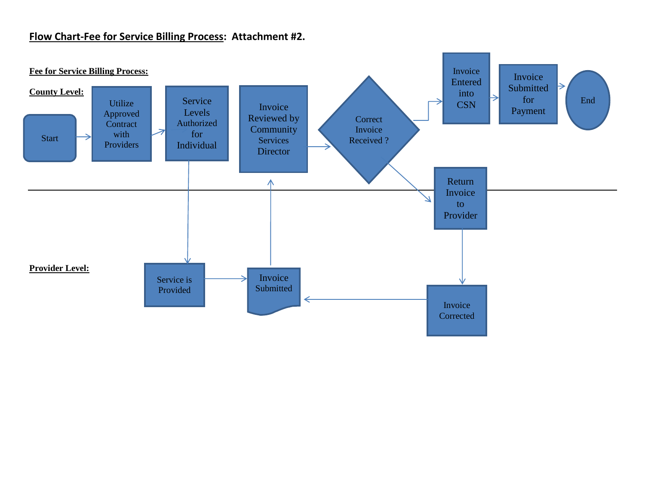## **Flow Chart-Fee for Service Billing Process: Attachment #2.**

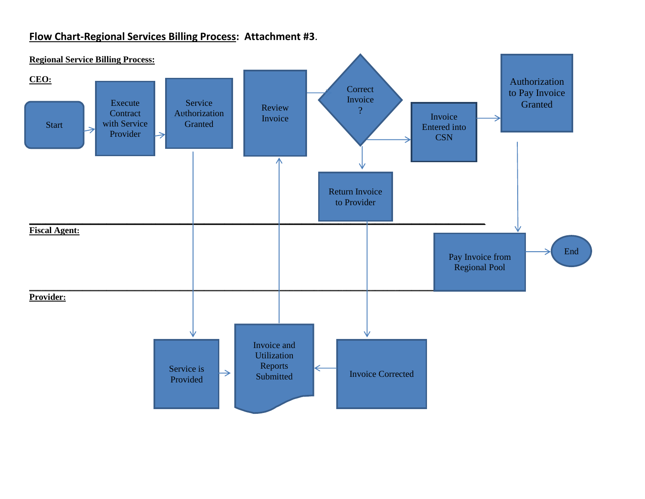## **Flow Chart-Regional Services Billing Process: Attachment #3**.

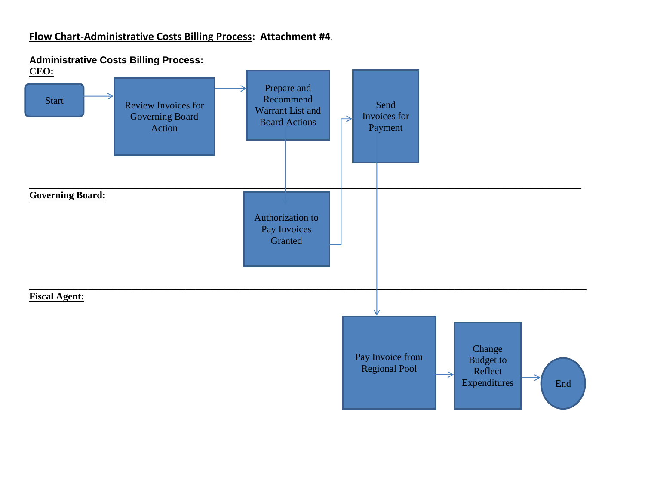## **Flow Chart-Administrative Costs Billing Process: Attachment #4**.

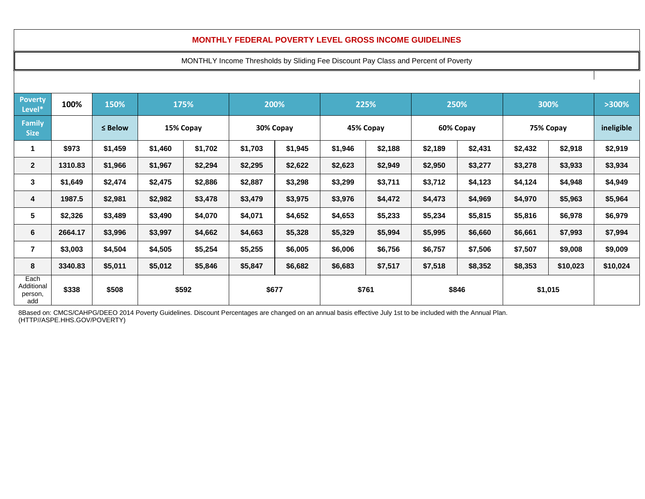#### **MONTHLY FEDERAL POVERTY LEVEL GROSS INCOME GUIDELINES**

#### MONTHLY Income Thresholds by Sliding Fee Discount Pay Class and Percent of Poverty

| <b>Poverty</b><br>Level*             | 100%    | 150%                      |         | 175%    | 200%      |         | 225%      |         |           | 250%    |           |          |            |  |  | >300%<br>300% |  |  |  |
|--------------------------------------|---------|---------------------------|---------|---------|-----------|---------|-----------|---------|-----------|---------|-----------|----------|------------|--|--|---------------|--|--|--|
| Family<br><b>Size</b>                |         | $\leq$ Below<br>15% Copay |         |         | 30% Copay |         | 45% Copay |         | 60% Copay |         | 75% Copay |          | ineligible |  |  |               |  |  |  |
|                                      | \$973   | \$1,459                   | \$1,460 | \$1,702 | \$1,703   | \$1,945 | \$1,946   | \$2,188 | \$2,189   | \$2,431 | \$2,432   | \$2,918  | \$2,919    |  |  |               |  |  |  |
| $\overline{2}$                       | 1310.83 | \$1,966                   | \$1,967 | \$2,294 | \$2,295   | \$2,622 | \$2,623   | \$2,949 | \$2,950   | \$3,277 | \$3,278   | \$3,933  | \$3,934    |  |  |               |  |  |  |
|                                      | \$1,649 | \$2,474                   | \$2,475 | \$2,886 | \$2,887   | \$3,298 | \$3,299   | \$3,711 | \$3,712   | \$4,123 | \$4,124   | \$4,948  | \$4,949    |  |  |               |  |  |  |
|                                      | 1987.5  | \$2,981                   | \$2,982 | \$3,478 | \$3,479   | \$3,975 | \$3,976   | \$4,472 | \$4,473   | \$4,969 | \$4,970   | \$5,963  | \$5,964    |  |  |               |  |  |  |
|                                      | \$2,326 | \$3,489                   | \$3,490 | \$4,070 | \$4,071   | \$4,652 | \$4,653   | \$5,233 | \$5,234   | \$5,815 | \$5,816   | \$6,978  | \$6,979    |  |  |               |  |  |  |
|                                      | 2664.17 | \$3,996                   | \$3,997 | \$4,662 | \$4,663   | \$5,328 | \$5,329   | \$5,994 | \$5,995   | \$6,660 | \$6,661   | \$7,993  | \$7,994    |  |  |               |  |  |  |
|                                      | \$3,003 | \$4,504                   | \$4,505 | \$5,254 | \$5,255   | \$6,005 | \$6,006   | \$6,756 | \$6,757   | \$7,506 | \$7,507   | \$9,008  | \$9,009    |  |  |               |  |  |  |
| 8                                    | 3340.83 | \$5,011                   | \$5,012 | \$5,846 | \$5,847   | \$6,682 | \$6,683   | \$7,517 | \$7,518   | \$8,352 | \$8,353   | \$10,023 | \$10,024   |  |  |               |  |  |  |
| Each<br>Additional<br>person,<br>add | \$338   | \$508<br>\$592            |         | \$677   |           | \$761   |           |         | \$846     |         | \$1,015   |          |            |  |  |               |  |  |  |

8Based on: CMCS/CAHPG/DEEO 2014 Poverty Guidelines. Discount Percentages are changed on an annual basis effective July 1st to be included with the Annual Plan. (HTTP//ASPE.HHS.GOV/POVERTY)